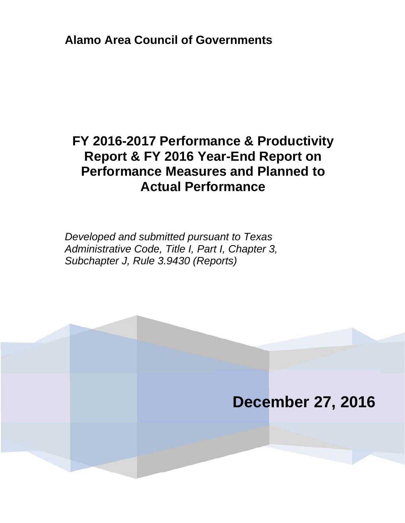**Alamo Area Council of Governments**

# **FY 2016-2017 Performance & Productivity Report & FY 2016 Year-End Report on Performance Measures and Planned to Actual Performance**

*Developed and submitted pursuant to Texas Administrative Code, Title I, Part I, Chapter 3, Subchapter J, Rule 3.9430 (Reports)* 

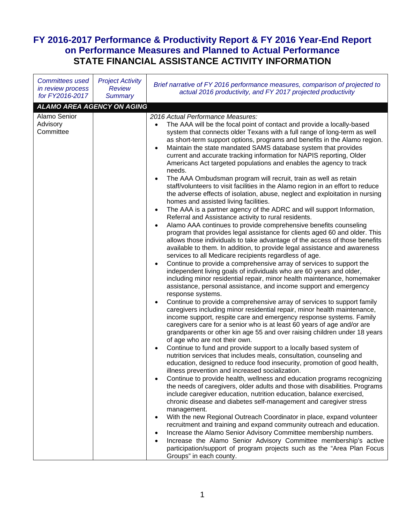## **FY 2016-2017 Performance & Productivity Report & FY 2016 Year-End Report on Performance Measures and Planned to Actual Performance STATE FINANCIAL ASSISTANCE ACTIVITY INFORMATION**

| <b>Committees used</b><br>in review process<br>for FY2016-2017 | <b>Project Activity</b><br><b>Review</b><br><b>Summary</b> | Brief narrative of FY 2016 performance measures, comparison of projected to<br>actual 2016 productivity, and FY 2017 projected productivity                                                                                                                                                                                                                                                                                                                                                                                                                                                                                                                                                                                                                                                                                                                                                                                                                                                                                                                                                                                                                                                                                                                                                                                                                                                                                                                                                                                                                                                                                                                                                                                                                                                                                                                                                                                                                                                                                                                                                                                                                                                                                                                                                                                                                                                                                                                                                                                                                                                                                                                                                                                                                                                                                                                                                                                                                                                                                                                 |
|----------------------------------------------------------------|------------------------------------------------------------|-------------------------------------------------------------------------------------------------------------------------------------------------------------------------------------------------------------------------------------------------------------------------------------------------------------------------------------------------------------------------------------------------------------------------------------------------------------------------------------------------------------------------------------------------------------------------------------------------------------------------------------------------------------------------------------------------------------------------------------------------------------------------------------------------------------------------------------------------------------------------------------------------------------------------------------------------------------------------------------------------------------------------------------------------------------------------------------------------------------------------------------------------------------------------------------------------------------------------------------------------------------------------------------------------------------------------------------------------------------------------------------------------------------------------------------------------------------------------------------------------------------------------------------------------------------------------------------------------------------------------------------------------------------------------------------------------------------------------------------------------------------------------------------------------------------------------------------------------------------------------------------------------------------------------------------------------------------------------------------------------------------------------------------------------------------------------------------------------------------------------------------------------------------------------------------------------------------------------------------------------------------------------------------------------------------------------------------------------------------------------------------------------------------------------------------------------------------------------------------------------------------------------------------------------------------------------------------------------------------------------------------------------------------------------------------------------------------------------------------------------------------------------------------------------------------------------------------------------------------------------------------------------------------------------------------------------------------------------------------------------------------------------------------------------------------|
| <b>ALAMO AREA AGENCY ON AGING</b>                              |                                                            |                                                                                                                                                                                                                                                                                                                                                                                                                                                                                                                                                                                                                                                                                                                                                                                                                                                                                                                                                                                                                                                                                                                                                                                                                                                                                                                                                                                                                                                                                                                                                                                                                                                                                                                                                                                                                                                                                                                                                                                                                                                                                                                                                                                                                                                                                                                                                                                                                                                                                                                                                                                                                                                                                                                                                                                                                                                                                                                                                                                                                                                             |
| Alamo Senior<br>Advisory<br>Committee                          |                                                            | 2016 Actual Performance Measures:<br>The AAA will be the focal point of contact and provide a locally-based<br>$\bullet$<br>system that connects older Texans with a full range of long-term as well<br>as short-term support options, programs and benefits in the Alamo region.<br>Maintain the state mandated SAMS database system that provides<br>$\bullet$<br>current and accurate tracking information for NAPIS reporting, Older<br>Americans Act targeted populations and enables the agency to track<br>needs.<br>The AAA Ombudsman program will recruit, train as well as retain<br>staff/volunteers to visit facilities in the Alamo region in an effort to reduce<br>the adverse effects of isolation, abuse, neglect and exploitation in nursing<br>homes and assisted living facilities.<br>The AAA is a partner agency of the ADRC and will support Information,<br>Referral and Assistance activity to rural residents.<br>Alamo AAA continues to provide comprehensive benefits counseling<br>program that provides legal assistance for clients aged 60 and older. This<br>allows those individuals to take advantage of the access of those benefits<br>available to them. In addition, to provide legal assistance and awareness<br>services to all Medicare recipients regardless of age.<br>Continue to provide a comprehensive array of services to support the<br>independent living goals of individuals who are 60 years and older,<br>including minor residential repair, minor health maintenance, homemaker<br>assistance, personal assistance, and income support and emergency<br>response systems.<br>Continue to provide a comprehensive array of services to support family<br>caregivers including minor residential repair, minor health maintenance,<br>income support, respite care and emergency response systems. Family<br>caregivers care for a senior who is at least 60 years of age and/or are<br>grandparents or other kin age 55 and over raising children under 18 years<br>of age who are not their own.<br>Continue to fund and provide support to a locally based system of<br>nutrition services that includes meals, consultation, counseling and<br>education, designed to reduce food insecurity, promotion of good health,<br>illness prevention and increased socialization.<br>Continue to provide health, wellness and education programs recognizing<br>the needs of caregivers, older adults and those with disabilities. Programs<br>include caregiver education, nutrition education, balance exercised,<br>chronic disease and diabetes self-management and caregiver stress<br>management.<br>With the new Regional Outreach Coordinator in place, expand volunteer<br>recruitment and training and expand community outreach and education.<br>Increase the Alamo Senior Advisory Committee membership numbers.<br>Increase the Alamo Senior Advisory Committee membership's active<br>participation/support of program projects such as the "Area Plan Focus<br>Groups" in each county. |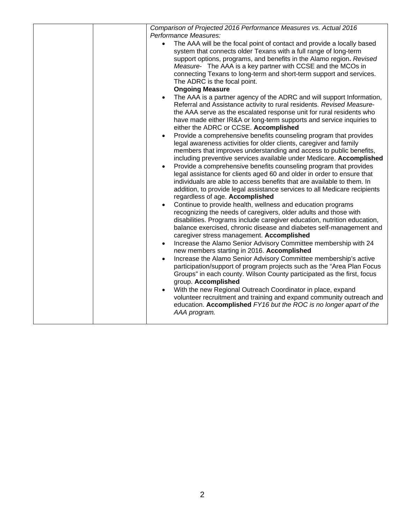| Comparison of Projected 2016 Performance Measures vs. Actual 2016<br>Performance Measures:<br>The AAA will be the focal point of contact and provide a locally based<br>$\bullet$<br>system that connects older Texans with a full range of long-term<br>support options, programs, and benefits in the Alamo region. Revised<br>Measure- The AAA is a key partner with CCSE and the MCOs in<br>connecting Texans to long-term and short-term support and services.<br>The ADRC is the focal point.<br><b>Ongoing Measure</b><br>The AAA is a partner agency of the ADRC and will support Information,<br>Referral and Assistance activity to rural residents. Revised Measure-<br>the AAA serve as the escalated response unit for rural residents who<br>have made either IR&A or long-term supports and service inquiries to<br>either the ADRC or CCSE. Accomplished<br>Provide a comprehensive benefits counseling program that provides<br>$\bullet$<br>legal awareness activities for older clients, caregiver and family<br>members that improves understanding and access to public benefits,<br>including preventive services available under Medicare. Accomplished<br>Provide a comprehensive benefits counseling program that provides<br>$\bullet$<br>legal assistance for clients aged 60 and older in order to ensure that<br>individuals are able to access benefits that are available to them. In<br>addition, to provide legal assistance services to all Medicare recipients<br>regardless of age. Accomplished<br>Continue to provide health, wellness and education programs<br>recognizing the needs of caregivers, older adults and those with<br>disabilities. Programs include caregiver education, nutrition education,<br>balance exercised, chronic disease and diabetes self-management and<br>caregiver stress management. Accomplished<br>Increase the Alamo Senior Advisory Committee membership with 24<br>$\bullet$<br>new members starting in 2016. Accomplished<br>Increase the Alamo Senior Advisory Committee membership's active<br>$\bullet$<br>participation/support of program projects such as the "Area Plan Focus<br>Groups" in each county. Wilson County participated as the first, focus<br>group. Accomplished<br>With the new Regional Outreach Coordinator in place, expand<br>volunteer recruitment and training and expand community outreach and |
|----------------------------------------------------------------------------------------------------------------------------------------------------------------------------------------------------------------------------------------------------------------------------------------------------------------------------------------------------------------------------------------------------------------------------------------------------------------------------------------------------------------------------------------------------------------------------------------------------------------------------------------------------------------------------------------------------------------------------------------------------------------------------------------------------------------------------------------------------------------------------------------------------------------------------------------------------------------------------------------------------------------------------------------------------------------------------------------------------------------------------------------------------------------------------------------------------------------------------------------------------------------------------------------------------------------------------------------------------------------------------------------------------------------------------------------------------------------------------------------------------------------------------------------------------------------------------------------------------------------------------------------------------------------------------------------------------------------------------------------------------------------------------------------------------------------------------------------------------------------------------------------------------------------------------------------------------------------------------------------------------------------------------------------------------------------------------------------------------------------------------------------------------------------------------------------------------------------------------------------------------------------------------------------------------------------------------------------------------------------------------------------------------------|
| education. Accomplished FY16 but the ROC is no longer apart of the<br>AAA program.                                                                                                                                                                                                                                                                                                                                                                                                                                                                                                                                                                                                                                                                                                                                                                                                                                                                                                                                                                                                                                                                                                                                                                                                                                                                                                                                                                                                                                                                                                                                                                                                                                                                                                                                                                                                                                                                                                                                                                                                                                                                                                                                                                                                                                                                                                                       |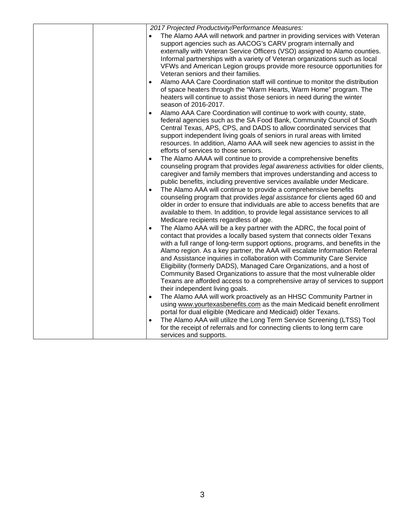| 2017 Projected Productivity/Performance Measures:                                                                  |
|--------------------------------------------------------------------------------------------------------------------|
| The Alamo AAA will network and partner in providing services with Veteran                                          |
| support agencies such as AACOG's CARV program internally and                                                       |
| externally with Veteran Service Officers (VSO) assigned to Alamo counties.                                         |
| Informal partnerships with a variety of Veteran organizations such as local                                        |
| VFWs and American Legion groups provide more resource opportunities for                                            |
| Veteran seniors and their families.                                                                                |
| Alamo AAA Care Coordination staff will continue to monitor the distribution<br>$\bullet$                           |
| of space heaters through the "Warm Hearts, Warm Home" program. The                                                 |
| heaters will continue to assist those seniors in need during the winter                                            |
| season of 2016-2017.                                                                                               |
| Alamo AAA Care Coordination will continue to work with county, state,<br>$\bullet$                                 |
| federal agencies such as the SA Food Bank, Community Council of South                                              |
| Central Texas, APS, CPS, and DADS to allow coordinated services that                                               |
| support independent living goals of seniors in rural areas with limited                                            |
| resources. In addition, Alamo AAA will seek new agencies to assist in the<br>efforts of services to those seniors. |
| The Alamo AAAA will continue to provide a comprehensive benefits                                                   |
| $\bullet$<br>counseling program that provides legal awareness activities for older clients,                        |
| caregiver and family members that improves understanding and access to                                             |
| public benefits, including preventive services available under Medicare.                                           |
| The Alamo AAA will continue to provide a comprehensive benefits<br>$\bullet$                                       |
| counseling program that provides legal assistance for clients aged 60 and                                          |
| older in order to ensure that individuals are able to access benefits that are                                     |
| available to them. In addition, to provide legal assistance services to all                                        |
| Medicare recipients regardless of age.                                                                             |
| The Alamo AAA will be a key partner with the ADRC, the focal point of<br>$\bullet$                                 |
| contact that provides a locally based system that connects older Texans                                            |
| with a full range of long-term support options, programs, and benefits in the                                      |
| Alamo region. As a key partner, the AAA will escalate Information Referral                                         |
| and Assistance inquiries in collaboration with Community Care Service                                              |
| Eligibility (formerly DADS), Managed Care Organizations, and a host of                                             |
| Community Based Organizations to assure that the most vulnerable older                                             |
| Texans are afforded access to a comprehensive array of services to support                                         |
| their independent living goals.                                                                                    |
| The Alamo AAA will work proactively as an HHSC Community Partner in                                                |
| using www.yourtexasbenefits.com as the main Medicaid benefit enrollment                                            |
| portal for dual eligible (Medicare and Medicaid) older Texans.                                                     |
| The Alamo AAA will utilize the Long Term Service Screening (LTSS) Tool<br>$\bullet$                                |
| for the receipt of referrals and for connecting clients to long term care                                          |
| services and supports.                                                                                             |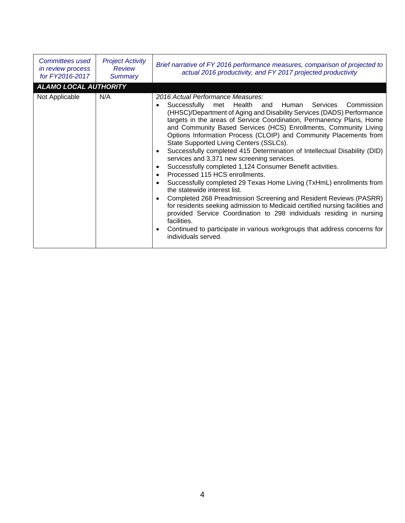| Committees used<br>in review process<br>for FY2016-2017 | <b>Project Activity</b><br>Review<br><b>Summary</b> | Brief narrative of FY 2016 performance measures, comparison of projected to<br>actual 2016 productivity, and FY 2017 projected productivity                                                                                                                                                                                                                                                                                                                                                                                                                                                                                                                                                                                                                                                                                                                                                                                                                                                                                                                                                                                                                                                                             |
|---------------------------------------------------------|-----------------------------------------------------|-------------------------------------------------------------------------------------------------------------------------------------------------------------------------------------------------------------------------------------------------------------------------------------------------------------------------------------------------------------------------------------------------------------------------------------------------------------------------------------------------------------------------------------------------------------------------------------------------------------------------------------------------------------------------------------------------------------------------------------------------------------------------------------------------------------------------------------------------------------------------------------------------------------------------------------------------------------------------------------------------------------------------------------------------------------------------------------------------------------------------------------------------------------------------------------------------------------------------|
| ALAMO LOCAL AUTHORITY                                   |                                                     |                                                                                                                                                                                                                                                                                                                                                                                                                                                                                                                                                                                                                                                                                                                                                                                                                                                                                                                                                                                                                                                                                                                                                                                                                         |
| Not Applicable                                          | N/A                                                 | 2016 Actual Performance Measures:<br>Successfully met Health<br>Human<br>Services<br>Commission<br>and<br>$\bullet$<br>(HHSC)/Department of Aging and Disability Services (DADS) Performance<br>targets in the areas of Service Coordination, Permanency Plans, Home<br>and Community Based Services (HCS) Enrollments, Community Living<br>Options Information Process (CLOIP) and Community Placements from<br>State Supported Living Centers (SSLCs).<br>Successfully completed 415 Determination of Intellectual Disability (DID)<br>$\bullet$<br>services and 3,371 new screening services.<br>Successfully completed 1,124 Consumer Benefit activities.<br>$\bullet$<br>Processed 115 HCS enrollments.<br>$\bullet$<br>Successfully completed 29 Texas Home Living (TxHmL) enrollments from<br>$\bullet$<br>the statewide interest list.<br>Completed 268 Preadmission Screening and Resident Reviews (PASRR)<br>$\bullet$<br>for residents seeking admission to Medicaid certified nursing facilities and<br>provided Service Coordination to 298 individuals residing in nursing<br>facilities.<br>Continued to participate in various workgroups that address concerns for<br>$\bullet$<br>individuals served. |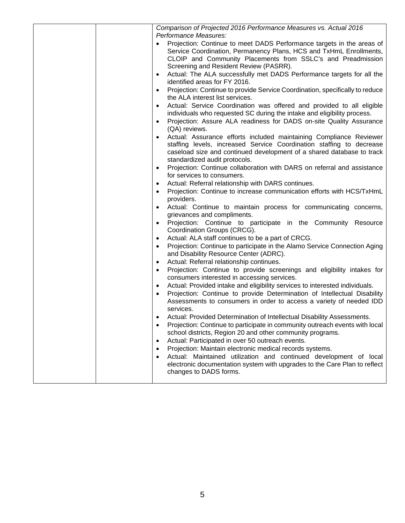| Comparison of Projected 2016 Performance Measures vs. Actual 2016<br>Performance Measures:                                                                                                                                                                        |
|-------------------------------------------------------------------------------------------------------------------------------------------------------------------------------------------------------------------------------------------------------------------|
| Projection: Continue to meet DADS Performance targets in the areas of<br>$\bullet$<br>Service Coordination, Permanency Plans, HCS and TxHmL Enrollments,<br>CLOIP and Community Placements from SSLC's and Preadmission<br>Screening and Resident Review (PASRR). |
| Actual: The ALA successfully met DADS Performance targets for all the<br>$\bullet$<br>identified areas for FY 2016.                                                                                                                                               |
| Projection: Continue to provide Service Coordination, specifically to reduce<br>$\bullet$<br>the ALA interest list services.                                                                                                                                      |
| Actual: Service Coordination was offered and provided to all eligible<br>individuals who requested SC during the intake and eligibility process.                                                                                                                  |
| Projection: Assure ALA readiness for DADS on-site Quality Assurance<br>$\bullet$<br>(QA) reviews.                                                                                                                                                                 |
| Actual: Assurance efforts included maintaining Compliance Reviewer<br>staffing levels, increased Service Coordination staffing to decrease<br>caseload size and continued development of a shared database to track<br>standardized audit protocols.              |
| Projection: Continue collaboration with DARS on referral and assistance<br>for services to consumers.                                                                                                                                                             |
| Actual: Referral relationship with DARS continues.                                                                                                                                                                                                                |
| Projection: Continue to increase communication efforts with HCS/TxHmL<br>providers.                                                                                                                                                                               |
| Actual: Continue to maintain process for communicating concerns,<br>grievances and compliments.                                                                                                                                                                   |
| Projection: Continue to participate in the Community Resource<br>$\bullet$<br>Coordination Groups (CRCG).                                                                                                                                                         |
| Actual: ALA staff continues to be a part of CRCG.<br>$\bullet$                                                                                                                                                                                                    |
| Projection: Continue to participate in the Alamo Service Connection Aging<br>$\bullet$<br>and Disability Resource Center (ADRC).                                                                                                                                  |
| Actual: Referral relationship continues.<br>$\bullet$                                                                                                                                                                                                             |
| Projection: Continue to provide screenings and eligibility intakes for<br>$\bullet$<br>consumers interested in accessing services.                                                                                                                                |
| Actual: Provided intake and eligibility services to interested individuals.<br>$\bullet$                                                                                                                                                                          |
| Projection: Continue to provide Determination of Intellectual Disability<br>Assessments to consumers in order to access a variety of needed IDD<br>services.                                                                                                      |
| Actual: Provided Determination of Intellectual Disability Assessments.                                                                                                                                                                                            |
| Projection: Continue to participate in community outreach events with local<br>$\bullet$                                                                                                                                                                          |
| school districts, Region 20 and other community programs.                                                                                                                                                                                                         |
| Actual: Participated in over 50 outreach events.<br>$\bullet$                                                                                                                                                                                                     |
| Projection: Maintain electronic medical records systems.<br>Actual: Maintained utilization and continued development of local                                                                                                                                     |
| electronic documentation system with upgrades to the Care Plan to reflect<br>changes to DADS forms.                                                                                                                                                               |
|                                                                                                                                                                                                                                                                   |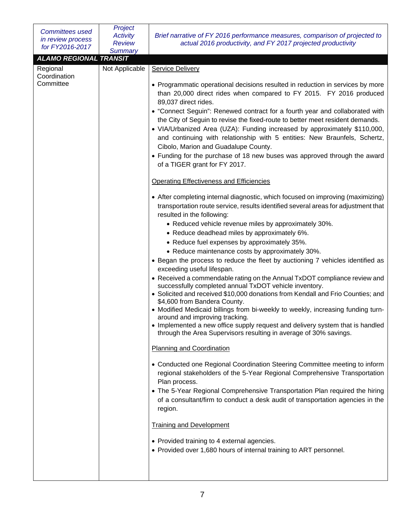| <b>Committees used</b><br>in review process<br>for FY2016-2017         | Project<br><b>Activity</b><br><b>Review</b><br><b>Summary</b> | Brief narrative of FY 2016 performance measures, comparison of projected to<br>actual 2016 productivity, and FY 2017 projected productivity                                                                                                                                                                                                                                                                                                                                                                                                                                                                                                                                                                                                                                                                                                                                                                                                                                                                                                                                                                                                                                                                                                                                                                                                                                                                                                                                                                                                                                                                                                                                                                                                                                                                                                                                                                                                                                                                                                                                                                                                                                                                                                                                                                                                                               |
|------------------------------------------------------------------------|---------------------------------------------------------------|---------------------------------------------------------------------------------------------------------------------------------------------------------------------------------------------------------------------------------------------------------------------------------------------------------------------------------------------------------------------------------------------------------------------------------------------------------------------------------------------------------------------------------------------------------------------------------------------------------------------------------------------------------------------------------------------------------------------------------------------------------------------------------------------------------------------------------------------------------------------------------------------------------------------------------------------------------------------------------------------------------------------------------------------------------------------------------------------------------------------------------------------------------------------------------------------------------------------------------------------------------------------------------------------------------------------------------------------------------------------------------------------------------------------------------------------------------------------------------------------------------------------------------------------------------------------------------------------------------------------------------------------------------------------------------------------------------------------------------------------------------------------------------------------------------------------------------------------------------------------------------------------------------------------------------------------------------------------------------------------------------------------------------------------------------------------------------------------------------------------------------------------------------------------------------------------------------------------------------------------------------------------------------------------------------------------------------------------------------------------------|
|                                                                        |                                                               |                                                                                                                                                                                                                                                                                                                                                                                                                                                                                                                                                                                                                                                                                                                                                                                                                                                                                                                                                                                                                                                                                                                                                                                                                                                                                                                                                                                                                                                                                                                                                                                                                                                                                                                                                                                                                                                                                                                                                                                                                                                                                                                                                                                                                                                                                                                                                                           |
| <b>ALAMO REGIONAL TRANSIT</b><br>Regional<br>Coordination<br>Committee | Not Applicable                                                | <b>Service Delivery</b><br>• Programmatic operational decisions resulted in reduction in services by more<br>than 20,000 direct rides when compared to FY 2015. FY 2016 produced<br>89,037 direct rides.<br>• "Connect Seguin": Renewed contract for a fourth year and collaborated with<br>the City of Seguin to revise the fixed-route to better meet resident demands.<br>• VIA/Urbanized Area (UZA): Funding increased by approximately \$110,000,<br>and continuing with relationship with 5 entities: New Braunfels, Schertz,<br>Cibolo, Marion and Guadalupe County.<br>• Funding for the purchase of 18 new buses was approved through the award<br>of a TIGER grant for FY 2017.<br><b>Operating Effectiveness and Efficiencies</b><br>• After completing internal diagnostic, which focused on improving (maximizing)<br>transportation route service, results identified several areas for adjustment that<br>resulted in the following:<br>• Reduced vehicle revenue miles by approximately 30%.<br>• Reduce deadhead miles by approximately 6%.<br>• Reduce fuel expenses by approximately 35%.<br>• Reduce maintenance costs by approximately 30%.<br>• Began the process to reduce the fleet by auctioning 7 vehicles identified as<br>exceeding useful lifespan.<br>• Received a commendable rating on the Annual TxDOT compliance review and<br>successfully completed annual TxDOT vehicle inventory.<br>• Solicited and received \$10,000 donations from Kendall and Frio Counties; and<br>\$4,600 from Bandera County.<br>• Modified Medicaid billings from bi-weekly to weekly, increasing funding turn-<br>around and improving tracking.<br>• Implemented a new office supply request and delivery system that is handled<br>through the Area Supervisors resulting in average of 30% savings.<br><b>Planning and Coordination</b><br>• Conducted one Regional Coordination Steering Committee meeting to inform<br>regional stakeholders of the 5-Year Regional Comprehensive Transportation<br>Plan process.<br>• The 5-Year Regional Comprehensive Transportation Plan required the hiring<br>of a consultant/firm to conduct a desk audit of transportation agencies in the<br>region.<br><b>Training and Development</b><br>• Provided training to 4 external agencies.<br>• Provided over 1,680 hours of internal training to ART personnel. |
|                                                                        |                                                               |                                                                                                                                                                                                                                                                                                                                                                                                                                                                                                                                                                                                                                                                                                                                                                                                                                                                                                                                                                                                                                                                                                                                                                                                                                                                                                                                                                                                                                                                                                                                                                                                                                                                                                                                                                                                                                                                                                                                                                                                                                                                                                                                                                                                                                                                                                                                                                           |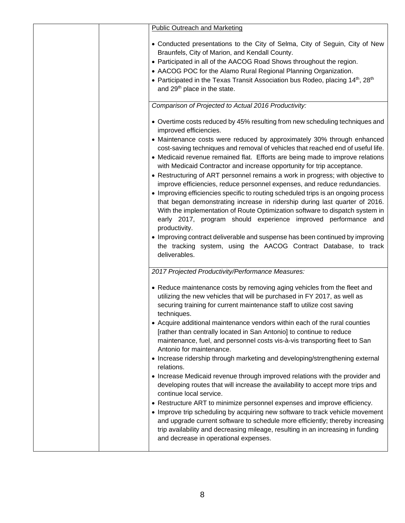| <b>Public Outreach and Marketing</b>                                                                                                                    |
|---------------------------------------------------------------------------------------------------------------------------------------------------------|
| • Conducted presentations to the City of Selma, City of Seguin, City of New<br>Braunfels, City of Marion, and Kendall County.                           |
| • Participated in all of the AACOG Road Shows throughout the region.                                                                                    |
| • AACOG POC for the Alamo Rural Regional Planning Organization.                                                                                         |
| • Participated in the Texas Transit Association bus Rodeo, placing 14th, 28th                                                                           |
| and 29 <sup>th</sup> place in the state.                                                                                                                |
| Comparison of Projected to Actual 2016 Productivity:                                                                                                    |
| • Overtime costs reduced by 45% resulting from new scheduling techniques and<br>improved efficiencies.                                                  |
| • Maintenance costs were reduced by approximately 30% through enhanced                                                                                  |
| cost-saving techniques and removal of vehicles that reached end of useful life.                                                                         |
| • Medicaid revenue remained flat. Efforts are being made to improve relations<br>with Medicaid Contractor and increase opportunity for trip acceptance. |
| • Restructuring of ART personnel remains a work in progress; with objective to                                                                          |
| improve efficiencies, reduce personnel expenses, and reduce redundancies.                                                                               |
| • Improving efficiencies specific to routing scheduled trips is an ongoing process                                                                      |
| that began demonstrating increase in ridership during last quarter of 2016.                                                                             |
| With the implementation of Route Optimization software to dispatch system in<br>early 2017, program should experience improved performance and          |
| productivity.                                                                                                                                           |
| • Improving contract deliverable and suspense has been continued by improving                                                                           |
| the tracking system, using the AACOG Contract Database, to track                                                                                        |
| deliverables.                                                                                                                                           |
| 2017 Projected Productivity/Performance Measures:                                                                                                       |
| • Reduce maintenance costs by removing aging vehicles from the fleet and                                                                                |
| utilizing the new vehicles that will be purchased in FY 2017, as well as                                                                                |
| securing training for current maintenance staff to utilize cost saving                                                                                  |
| techniques.                                                                                                                                             |
| • Acquire additional maintenance vendors within each of the rural counties                                                                              |
| [rather than centrally located in San Antonio] to continue to reduce<br>maintenance, fuel, and personnel costs vis-à-vis transporting fleet to San      |
| Antonio for maintenance.                                                                                                                                |
| • Increase ridership through marketing and developing/strengthening external                                                                            |
| relations.                                                                                                                                              |
| • Increase Medicaid revenue through improved relations with the provider and                                                                            |
| developing routes that will increase the availability to accept more trips and<br>continue local service.                                               |
| • Restructure ART to minimize personnel expenses and improve efficiency.                                                                                |
| • Improve trip scheduling by acquiring new software to track vehicle movement                                                                           |
| and upgrade current software to schedule more efficiently; thereby increasing                                                                           |
| trip availability and decreasing mileage, resulting in an increasing in funding                                                                         |
| and decrease in operational expenses.                                                                                                                   |
|                                                                                                                                                         |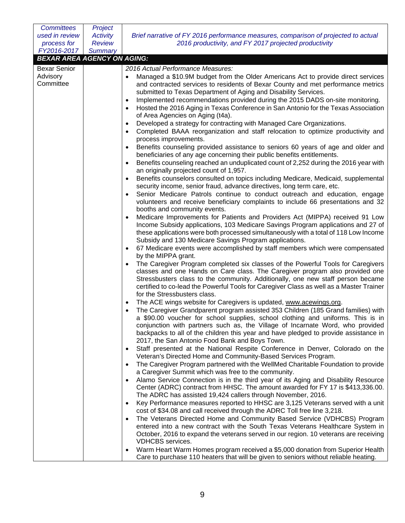| <b>Committees</b>                  | Project                          |                                                                                                                                                                                                                                                                                                                                                                                                                                                                        |
|------------------------------------|----------------------------------|------------------------------------------------------------------------------------------------------------------------------------------------------------------------------------------------------------------------------------------------------------------------------------------------------------------------------------------------------------------------------------------------------------------------------------------------------------------------|
| used in review<br>process for      | <b>Activity</b><br><b>Review</b> | Brief narrative of FY 2016 performance measures, comparison of projected to actual<br>2016 productivity, and FY 2017 projected productivity                                                                                                                                                                                                                                                                                                                            |
| FY2016-2017                        | <b>Summary</b>                   |                                                                                                                                                                                                                                                                                                                                                                                                                                                                        |
| <b>BEXAR AREA AGENCY ON AGING:</b> |                                  |                                                                                                                                                                                                                                                                                                                                                                                                                                                                        |
| <b>Bexar Senior</b>                |                                  | 2016 Actual Performance Measures:                                                                                                                                                                                                                                                                                                                                                                                                                                      |
| Advisory<br>Committee              |                                  | Managed a \$10.9M budget from the Older Americans Act to provide direct services<br>and contracted services to residents of Bexar County and met performance metrics<br>submitted to Texas Department of Aging and Disability Services.<br>Implemented recommendations provided during the 2015 DADS on-site monitoring.<br>Hosted the 2016 Aging in Texas Conference in San Antonio for the Texas Association<br>$\bullet$<br>of Area Agencies on Aging (t4a).        |
|                                    |                                  | Developed a strategy for contracting with Managed Care Organizations.<br>$\bullet$                                                                                                                                                                                                                                                                                                                                                                                     |
|                                    |                                  | Completed BAAA reorganization and staff relocation to optimize productivity and<br>$\bullet$<br>process improvements.                                                                                                                                                                                                                                                                                                                                                  |
|                                    |                                  | Benefits counseling provided assistance to seniors 60 years of age and older and<br>beneficiaries of any age concerning their public benefits entitlements.<br>Benefits counseling reached an unduplicated count of 2,252 during the 2016 year with<br>$\bullet$                                                                                                                                                                                                       |
|                                    |                                  | an originally projected count of 1,957.                                                                                                                                                                                                                                                                                                                                                                                                                                |
|                                    |                                  | Benefits counselors consulted on topics including Medicare, Medicaid, supplemental<br>$\bullet$<br>security income, senior fraud, advance directives, long term care, etc.                                                                                                                                                                                                                                                                                             |
|                                    |                                  | Senior Medicare Patrols continue to conduct outreach and education, engage<br>$\bullet$<br>volunteers and receive beneficiary complaints to include 66 presentations and 32<br>booths and community events.                                                                                                                                                                                                                                                            |
|                                    |                                  | Medicare Improvements for Patients and Providers Act (MIPPA) received 91 Low<br>$\bullet$<br>Income Subsidy applications, 103 Medicare Savings Program applications and 27 of<br>these applications were both processed simultaneously with a total of 118 Low Income<br>Subsidy and 130 Medicare Savings Program applications.                                                                                                                                        |
|                                    |                                  | 67 Medicare events were accomplished by staff members which were compensated<br>$\bullet$<br>by the MIPPA grant.                                                                                                                                                                                                                                                                                                                                                       |
|                                    |                                  | The Caregiver Program completed six classes of the Powerful Tools for Caregivers<br>classes and one Hands on Care class. The Caregiver program also provided one<br>Stressbusters class to the community. Additionally, one new staff person became<br>certified to co-lead the Powerful Tools for Caregiver Class as well as a Master Trainer<br>for the Stressbusters class.                                                                                         |
|                                    |                                  | The ACE wings website for Caregivers is updated, www.acewings.org.<br>The Caregiver Grandparent program assisted 353 Children (185 Grand families) with<br>a \$90.00 voucher for school supplies, school clothing and uniforms. This is in<br>conjunction with partners such as, the Village of Incarnate Word, who provided<br>backpacks to all of the children this year and have pledged to provide assistance in<br>2017, the San Antonio Food Bank and Boys Town. |
|                                    |                                  | Staff presented at the National Respite Conference in Denver, Colorado on the<br>$\bullet$<br>Veteran's Directed Home and Community-Based Services Program.                                                                                                                                                                                                                                                                                                            |
|                                    |                                  | The Caregiver Program partnered with the WellMed Charitable Foundation to provide<br>$\bullet$<br>a Caregiver Summit which was free to the community.                                                                                                                                                                                                                                                                                                                  |
|                                    |                                  | Alamo Service Connection is in the third year of its Aging and Disability Resource<br>$\bullet$<br>Center (ADRC) contract from HHSC. The amount awarded for FY 17 is \$413,336.00.<br>The ADRC has assisted 19,424 callers through November, 2016.                                                                                                                                                                                                                     |
|                                    |                                  | Key Performance measures reported to HHSC are 3,125 Veterans served with a unit<br>$\bullet$<br>cost of \$34.08 and call received through the ADRC Toll free line 3,218.                                                                                                                                                                                                                                                                                               |
|                                    |                                  | The Veterans Directed Home and Community Based Service (VDHCBS) Program<br>$\bullet$<br>entered into a new contract with the South Texas Veterans Healthcare System in<br>October, 2016 to expand the veterans served in our region. 10 veterans are receiving<br><b>VDHCBS</b> services.                                                                                                                                                                              |
|                                    |                                  | Warm Heart Warm Homes program received a \$5,000 donation from Superior Health<br>Care to purchase 110 heaters that will be given to seniors without reliable heating.                                                                                                                                                                                                                                                                                                 |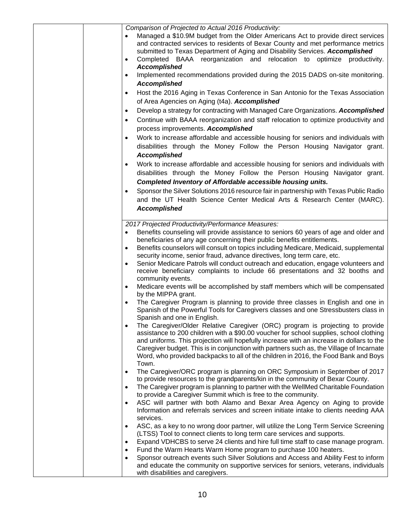| ٠                      | Comparison of Projected to Actual 2016 Productivity:<br>Managed a \$10.9M budget from the Older Americans Act to provide direct services<br>and contracted services to residents of Bexar County and met performance metrics<br>submitted to Texas Department of Aging and Disability Services. Accomplished<br>Completed BAAA reorganization and relocation to optimize productivity.<br><b>Accomplished</b>                                                   |
|------------------------|-----------------------------------------------------------------------------------------------------------------------------------------------------------------------------------------------------------------------------------------------------------------------------------------------------------------------------------------------------------------------------------------------------------------------------------------------------------------|
| ٠<br>$\bullet$         | Implemented recommendations provided during the 2015 DADS on-site monitoring.<br><b>Accomplished</b><br>Host the 2016 Aging in Texas Conference in San Antonio for the Texas Association                                                                                                                                                                                                                                                                        |
|                        | of Area Agencies on Aging (t4a). Accomplished                                                                                                                                                                                                                                                                                                                                                                                                                   |
| ٠<br>$\bullet$         | Develop a strategy for contracting with Managed Care Organizations. Accomplished<br>Continue with BAAA reorganization and staff relocation to optimize productivity and<br>process improvements. Accomplished                                                                                                                                                                                                                                                   |
| $\bullet$              | Work to increase affordable and accessible housing for seniors and individuals with<br>disabilities through the Money Follow the Person Housing Navigator grant.<br><b>Accomplished</b>                                                                                                                                                                                                                                                                         |
| $\bullet$              | Work to increase affordable and accessible housing for seniors and individuals with<br>disabilities through the Money Follow the Person Housing Navigator grant.<br>Completed Inventory of Affordable accessible housing units.                                                                                                                                                                                                                                 |
| $\bullet$              | Sponsor the Silver Solutions 2016 resource fair in partnership with Texas Public Radio<br>and the UT Health Science Center Medical Arts & Research Center (MARC).<br><b>Accomplished</b>                                                                                                                                                                                                                                                                        |
|                        | 2017 Projected Productivity/Performance Measures:                                                                                                                                                                                                                                                                                                                                                                                                               |
|                        | Benefits counseling will provide assistance to seniors 60 years of age and older and<br>beneficiaries of any age concerning their public benefits entitlements.                                                                                                                                                                                                                                                                                                 |
| $\bullet$              | Benefits counselors will consult on topics including Medicare, Medicaid, supplemental                                                                                                                                                                                                                                                                                                                                                                           |
| $\bullet$              | security income, senior fraud, advance directives, long term care, etc.<br>Senior Medicare Patrols will conduct outreach and education, engage volunteers and<br>receive beneficiary complaints to include 66 presentations and 32 booths and<br>community events.                                                                                                                                                                                              |
| $\bullet$              | Medicare events will be accomplished by staff members which will be compensated<br>by the MIPPA grant.                                                                                                                                                                                                                                                                                                                                                          |
| $\bullet$              | The Caregiver Program is planning to provide three classes in English and one in<br>Spanish of the Powerful Tools for Caregivers classes and one Stressbusters class in<br>Spanish and one in English.                                                                                                                                                                                                                                                          |
| $\bullet$              | The Caregiver/Older Relative Caregiver (ORC) program is projecting to provide<br>assistance to 200 children with a \$90.00 voucher for school supplies, school clothing<br>and uniforms. This projection will hopefully increase with an increase in dollars to the<br>Caregiver budget. This is in conjunction with partners such as, the Village of Incarnate<br>Word, who provided backpacks to all of the children in 2016, the Food Bank and Boys<br>Town. |
| $\bullet$              | The Caregiver/ORC program is planning on ORC Symposium in September of 2017                                                                                                                                                                                                                                                                                                                                                                                     |
| $\bullet$              | to provide resources to the grandparents/kin in the community of Bexar County.<br>The Caregiver program is planning to partner with the WellMed Charitable Foundation                                                                                                                                                                                                                                                                                           |
|                        | to provide a Caregiver Summit which is free to the community.                                                                                                                                                                                                                                                                                                                                                                                                   |
| $\bullet$              | ASC will partner with both Alamo and Bexar Area Agency on Aging to provide<br>Information and referrals services and screen initiate intake to clients needing AAA<br>services.                                                                                                                                                                                                                                                                                 |
| $\bullet$              | ASC, as a key to no wrong door partner, will utilize the Long Term Service Screening<br>(LTSS) Tool to connect clients to long term care services and supports.                                                                                                                                                                                                                                                                                                 |
| $\bullet$              | Expand VDHCBS to serve 24 clients and hire full time staff to case manage program.                                                                                                                                                                                                                                                                                                                                                                              |
| $\bullet$<br>$\bullet$ | Fund the Warm Hearts Warm Home program to purchase 100 heaters.<br>Sponsor outreach events such Silver Solutions and Access and Ability Fest to inform<br>and educate the community on supportive services for seniors, veterans, individuals<br>with disabilities and caregivers.                                                                                                                                                                              |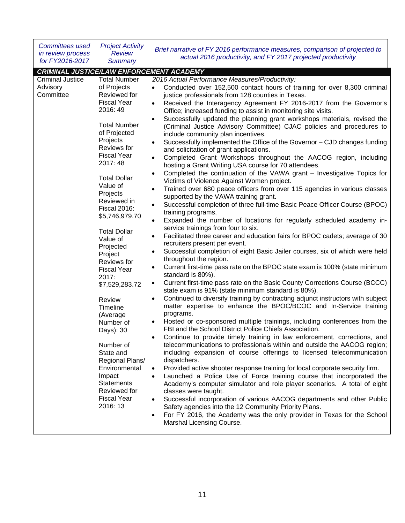| <b>Committees used</b><br>in review process<br>for FY2016-2017                               | <b>Project Activity</b><br><b>Review</b><br><b>Summary</b>                                                                                                                                                                                                                                                                                                                                                                                                                                                                                                                                                                           | Brief narrative of FY 2016 performance measures, comparison of projected to<br>actual 2016 productivity, and FY 2017 projected productivity                                                                                                                                                                                                                                                                                                                                                                                                                                                                                                                                                                                                                                                                                                                                                                                                                                                                                                                                                                                                                                                                                                                                                                                                                                                                                                                                                                                                                                                                                                                                                                                                                                                                                                                                                                                                                                                                                                                                                                                                                                                                                                                                                                                                                                                                                                                                                                                                                                                                                                                                                                                                                                                                                                                                                                              |
|----------------------------------------------------------------------------------------------|--------------------------------------------------------------------------------------------------------------------------------------------------------------------------------------------------------------------------------------------------------------------------------------------------------------------------------------------------------------------------------------------------------------------------------------------------------------------------------------------------------------------------------------------------------------------------------------------------------------------------------------|--------------------------------------------------------------------------------------------------------------------------------------------------------------------------------------------------------------------------------------------------------------------------------------------------------------------------------------------------------------------------------------------------------------------------------------------------------------------------------------------------------------------------------------------------------------------------------------------------------------------------------------------------------------------------------------------------------------------------------------------------------------------------------------------------------------------------------------------------------------------------------------------------------------------------------------------------------------------------------------------------------------------------------------------------------------------------------------------------------------------------------------------------------------------------------------------------------------------------------------------------------------------------------------------------------------------------------------------------------------------------------------------------------------------------------------------------------------------------------------------------------------------------------------------------------------------------------------------------------------------------------------------------------------------------------------------------------------------------------------------------------------------------------------------------------------------------------------------------------------------------------------------------------------------------------------------------------------------------------------------------------------------------------------------------------------------------------------------------------------------------------------------------------------------------------------------------------------------------------------------------------------------------------------------------------------------------------------------------------------------------------------------------------------------------------------------------------------------------------------------------------------------------------------------------------------------------------------------------------------------------------------------------------------------------------------------------------------------------------------------------------------------------------------------------------------------------------------------------------------------------------------------------------------------------|
|                                                                                              |                                                                                                                                                                                                                                                                                                                                                                                                                                                                                                                                                                                                                                      |                                                                                                                                                                                                                                                                                                                                                                                                                                                                                                                                                                                                                                                                                                                                                                                                                                                                                                                                                                                                                                                                                                                                                                                                                                                                                                                                                                                                                                                                                                                                                                                                                                                                                                                                                                                                                                                                                                                                                                                                                                                                                                                                                                                                                                                                                                                                                                                                                                                                                                                                                                                                                                                                                                                                                                                                                                                                                                                          |
| CRIMINAL JUSTICE/LAW ENFORCEMENT ACADEMY<br><b>Criminal Justice</b><br>Advisory<br>Committee | <b>Total Number</b><br>of Projects<br>Reviewed for<br><b>Fiscal Year</b><br>2016: 49<br><b>Total Number</b><br>of Projected<br>Projects<br>Reviews for<br><b>Fiscal Year</b><br>2017:48<br><b>Total Dollar</b><br>Value of<br>Projects<br>Reviewed in<br><b>Fiscal 2016:</b><br>\$5,746,979.70<br><b>Total Dollar</b><br>Value of<br>Projected<br>Project<br>Reviews for<br><b>Fiscal Year</b><br>2017:<br>\$7,529,283.72<br>Review<br>Timeline<br>(Average<br>Number of<br>Days): 30<br>Number of<br>State and<br>Regional Plans/<br>Environmental<br>Impact<br><b>Statements</b><br>Reviewed for<br><b>Fiscal Year</b><br>2016: 13 | 2016 Actual Performance Measures/Productivity:<br>Conducted over 152,500 contact hours of training for over 8,300 criminal<br>justice professionals from 128 counties in Texas.<br>Received the Interagency Agreement FY 2016-2017 from the Governor's<br>Office; increased funding to assist in monitoring site visits.<br>Successfully updated the planning grant workshops materials, revised the<br>(Criminal Justice Advisory Committee) CJAC policies and procedures to<br>include community plan incentives.<br>Successfully implemented the Office of the Governor - CJD changes funding<br>and solicitation of grant applications.<br>Completed Grant Workshops throughout the AACOG region, including<br>$\bullet$<br>hosting a Grant Writing USA course for 70 attendees.<br>Completed the continuation of the VAWA grant - Investigative Topics for<br>$\bullet$<br>Victims of Violence Against Women project.<br>Trained over 680 peace officers from over 115 agencies in various classes<br>$\bullet$<br>supported by the VAWA training grant.<br>Successful completion of three full-time Basic Peace Officer Course (BPOC)<br>$\bullet$<br>training programs.<br>Expanded the number of locations for regularly scheduled academy in-<br>$\bullet$<br>service trainings from four to six.<br>Facilitated three career and education fairs for BPOC cadets; average of 30<br>$\bullet$<br>recruiters present per event.<br>Successful completion of eight Basic Jailer courses, six of which were held<br>$\bullet$<br>throughout the region.<br>Current first-time pass rate on the BPOC state exam is 100% (state minimum<br>$\bullet$<br>standard is 80%).<br>Current first-time pass rate on the Basic County Corrections Course (BCCC)<br>$\bullet$<br>state exam is 91% (state minimum standard is 80%).<br>Continued to diversify training by contracting adjunct instructors with subject<br>$\bullet$<br>matter expertise to enhance the BPOC/BCOC and In-Service training<br>programs.<br>Hosted or co-sponsored multiple trainings, including conferences from the<br>FBI and the School District Police Chiefs Association.<br>Continue to provide timely training in law enforcement, corrections, and<br>telecommunications to professionals within and outside the AACOG region;<br>including expansion of course offerings to licensed telecommunication<br>dispatchers.<br>Provided active shooter response training for local corporate security firm.<br>$\bullet$<br>Launched a Police Use of Force training course that incorporated the<br>Academy's computer simulator and role player scenarios. A total of eight<br>classes were taught.<br>Successful incorporation of various AACOG departments and other Public<br>$\bullet$<br>Safety agencies into the 12 Community Priority Plans.<br>For FY 2016, the Academy was the only provider in Texas for the School<br>$\bullet$ |
|                                                                                              |                                                                                                                                                                                                                                                                                                                                                                                                                                                                                                                                                                                                                                      | Marshal Licensing Course.                                                                                                                                                                                                                                                                                                                                                                                                                                                                                                                                                                                                                                                                                                                                                                                                                                                                                                                                                                                                                                                                                                                                                                                                                                                                                                                                                                                                                                                                                                                                                                                                                                                                                                                                                                                                                                                                                                                                                                                                                                                                                                                                                                                                                                                                                                                                                                                                                                                                                                                                                                                                                                                                                                                                                                                                                                                                                                |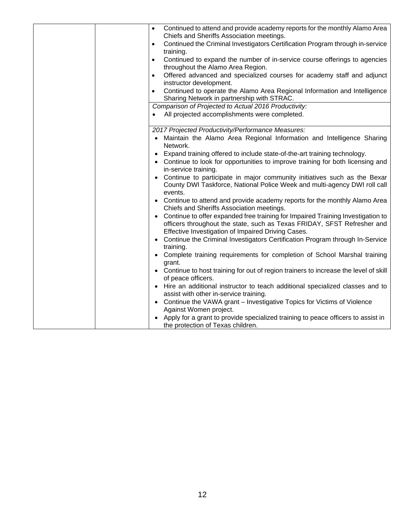|           | Continued to attend and provide academy reports for the monthly Alamo Area<br>Chiefs and Sheriffs Association meetings.                                                                                          |
|-----------|------------------------------------------------------------------------------------------------------------------------------------------------------------------------------------------------------------------|
|           | Continued the Criminal Investigators Certification Program through in-service<br>training.                                                                                                                       |
|           | Continued to expand the number of in-service course offerings to agencies                                                                                                                                        |
|           | throughout the Alamo Area Region.                                                                                                                                                                                |
| $\bullet$ | Offered advanced and specialized courses for academy staff and adjunct<br>instructor development.                                                                                                                |
| $\bullet$ | Continued to operate the Alamo Area Regional Information and Intelligence<br>Sharing Network in partnership with STRAC.                                                                                          |
|           | Comparison of Projected to Actual 2016 Productivity:                                                                                                                                                             |
|           | All projected accomplishments were completed.                                                                                                                                                                    |
|           | 2017 Projected Productivity/Performance Measures:                                                                                                                                                                |
|           | Maintain the Alamo Area Regional Information and Intelligence Sharing<br>Network.                                                                                                                                |
|           | Expand training offered to include state-of-the-art training technology.                                                                                                                                         |
|           | • Continue to look for opportunities to improve training for both licensing and<br>in-service training.                                                                                                          |
|           | • Continue to participate in major community initiatives such as the Bexar<br>County DWI Taskforce, National Police Week and multi-agency DWI roll call<br>events.                                               |
|           | • Continue to attend and provide academy reports for the monthly Alamo Area<br>Chiefs and Sheriffs Association meetings.                                                                                         |
| $\bullet$ | Continue to offer expanded free training for Impaired Training Investigation to<br>officers throughout the state, such as Texas FRIDAY, SFST Refresher and<br>Effective Investigation of Impaired Driving Cases. |
|           | Continue the Criminal Investigators Certification Program through In-Service<br>training.                                                                                                                        |
|           | Complete training requirements for completion of School Marshal training<br>grant.                                                                                                                               |
|           | • Continue to host training for out of region trainers to increase the level of skill<br>of peace officers.                                                                                                      |
|           | • Hire an additional instructor to teach additional specialized classes and to<br>assist with other in-service training.                                                                                         |
|           | • Continue the VAWA grant - Investigative Topics for Victims of Violence<br>Against Women project.                                                                                                               |
|           | Apply for a grant to provide specialized training to peace officers to assist in<br>the protection of Texas children.                                                                                            |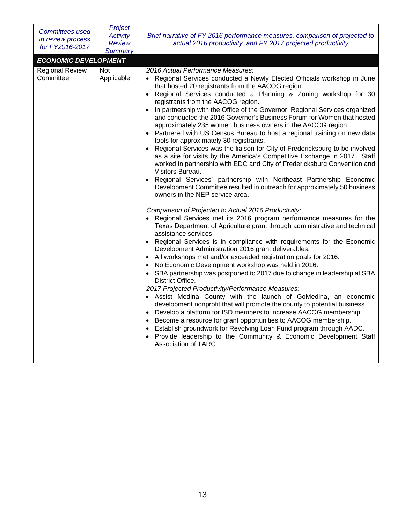| <b>Committees used</b><br>in review process<br>for FY2016-2017                                 | Project<br><b>Activity</b><br><b>Review</b><br><b>Summary</b> | Brief narrative of FY 2016 performance measures, comparison of projected to<br>actual 2016 productivity, and FY 2017 projected productivity                                                                                                                                                                                                                                                                                                                                                                                                                                                                                                                                                                                                                                                                                                                                                                                                                                                          |
|------------------------------------------------------------------------------------------------|---------------------------------------------------------------|------------------------------------------------------------------------------------------------------------------------------------------------------------------------------------------------------------------------------------------------------------------------------------------------------------------------------------------------------------------------------------------------------------------------------------------------------------------------------------------------------------------------------------------------------------------------------------------------------------------------------------------------------------------------------------------------------------------------------------------------------------------------------------------------------------------------------------------------------------------------------------------------------------------------------------------------------------------------------------------------------|
| <b>ECONOMIC DEVELOPMENT</b><br><b>Regional Review</b><br><b>Not</b><br>Committee<br>Applicable |                                                               | 2016 Actual Performance Measures:<br>• Regional Services conducted a Newly Elected Officials workshop in June<br>that hosted 20 registrants from the AACOG region.<br>Regional Services conducted a Planning & Zoning workshop for 30<br>$\bullet$<br>registrants from the AACOG region.<br>In partnership with the Office of the Governor, Regional Services organized<br>and conducted the 2016 Governor's Business Forum for Women that hosted<br>approximately 235 women business owners in the AACOG region.<br>• Partnered with US Census Bureau to host a regional training on new data<br>tools for approximately 30 registrants.<br>Regional Services was the liaison for City of Fredericksburg to be involved<br>as a site for visits by the America's Competitive Exchange in 2017. Staff<br>worked in partnership with EDC and City of Fredericksburg Convention and<br>Visitors Bureau.                                                                                                |
|                                                                                                |                                                               | Regional Services' partnership with Northeast Partnership Economic<br>Development Committee resulted in outreach for approximately 50 business<br>owners in the NEP service area.<br>Comparison of Projected to Actual 2016 Productivity:<br>• Regional Services met its 2016 program performance measures for the<br>Texas Department of Agriculture grant through administrative and technical<br>assistance services.<br>• Regional Services is in compliance with requirements for the Economic<br>Development Administration 2016 grant deliverables.<br>All workshops met and/or exceeded registration goals for 2016.<br>No Economic Development workshop was held in 2016.<br>SBA partnership was postponed to 2017 due to change in leadership at SBA<br>$\bullet$<br>District Office.<br>2017 Projected Productivity/Performance Measures:<br>• Assist Medina County with the launch of GoMedina, an economic<br>development nonprofit that will promote the county to potential business. |
|                                                                                                |                                                               | • Develop a platform for ISD members to increase AACOG membership.<br>Become a resource for grant opportunities to AACOG membership.<br>Establish groundwork for Revolving Loan Fund program through AADC.<br>Provide leadership to the Community & Economic Development Staff<br>$\bullet$<br>Association of TARC.                                                                                                                                                                                                                                                                                                                                                                                                                                                                                                                                                                                                                                                                                  |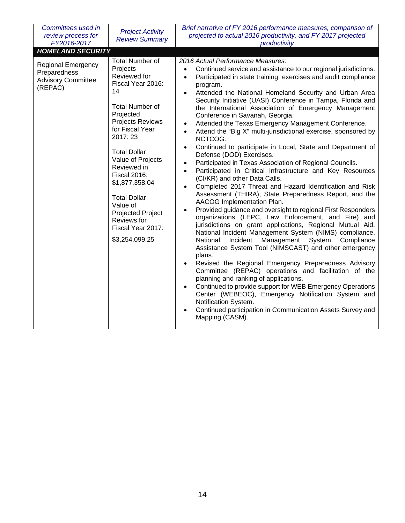| Committees used in<br>review process for<br>FY2016-2017                                                       | <b>Project Activity</b><br><b>Review Summary</b>                                                                                                                                                                                                                                                                                                                                                | Brief narrative of FY 2016 performance measures, comparison of<br>projected to actual 2016 productivity, and FY 2017 projected<br>productivity                                                                                                                                                                                                                                                                                                                                                                                                                                                                                                                                                                                                                                                                                                                                                                                                                                                                                                                                                                                                                                                                                                                                                                                                                                                                                                                                                                                                                                                                                                                                                                                                                                                 |
|---------------------------------------------------------------------------------------------------------------|-------------------------------------------------------------------------------------------------------------------------------------------------------------------------------------------------------------------------------------------------------------------------------------------------------------------------------------------------------------------------------------------------|------------------------------------------------------------------------------------------------------------------------------------------------------------------------------------------------------------------------------------------------------------------------------------------------------------------------------------------------------------------------------------------------------------------------------------------------------------------------------------------------------------------------------------------------------------------------------------------------------------------------------------------------------------------------------------------------------------------------------------------------------------------------------------------------------------------------------------------------------------------------------------------------------------------------------------------------------------------------------------------------------------------------------------------------------------------------------------------------------------------------------------------------------------------------------------------------------------------------------------------------------------------------------------------------------------------------------------------------------------------------------------------------------------------------------------------------------------------------------------------------------------------------------------------------------------------------------------------------------------------------------------------------------------------------------------------------------------------------------------------------------------------------------------------------|
| <b>HOMELAND SECURITY</b><br><b>Regional Emergency</b><br>Preparedness<br><b>Advisory Committee</b><br>(REPAC) | <b>Total Number of</b><br>Projects<br>Reviewed for<br>Fiscal Year 2016:<br>14<br><b>Total Number of</b><br>Projected<br><b>Projects Reviews</b><br>for Fiscal Year<br>2017:23<br><b>Total Dollar</b><br>Value of Projects<br>Reviewed in<br><b>Fiscal 2016:</b><br>\$1,877,358.04<br><b>Total Dollar</b><br>Value of<br>Projected Project<br>Reviews for<br>Fiscal Year 2017:<br>\$3,254,099.25 | 2016 Actual Performance Measures:<br>Continued service and assistance to our regional jurisdictions.<br>Participated in state training, exercises and audit compliance<br>$\bullet$<br>program.<br>Attended the National Homeland Security and Urban Area<br>Security Initiative (UASI) Conference in Tampa, Florida and<br>the International Association of Emergency Management<br>Conference in Savanah, Georgia.<br>Attended the Texas Emergency Management Conference.<br>Attend the "Big X" multi-jurisdictional exercise, sponsored by<br>$\bullet$<br>NCTCOG.<br>Continued to participate in Local, State and Department of<br>$\bullet$<br>Defense (DOD) Exercises.<br>Participated in Texas Association of Regional Councils.<br>$\bullet$<br>Participated in Critical Infrastructure and Key Resources<br>$\bullet$<br>(CI/KR) and other Data Calls.<br>Completed 2017 Threat and Hazard Identification and Risk<br>$\bullet$<br>Assessment (THIRA), State Preparedness Report, and the<br>AACOG Implementation Plan.<br>Provided guidance and oversight to regional First Responders<br>organizations (LEPC, Law Enforcement, and Fire) and<br>jurisdictions on grant applications, Regional Mutual Aid,<br>National Incident Management System (NIMS) compliance,<br>Incident Management System<br>National<br>Compliance<br>Assistance System Tool (NIMSCAST) and other emergency<br>plans.<br>Revised the Regional Emergency Preparedness Advisory<br>Committee (REPAC) operations and facilitation of the<br>planning and ranking of applications.<br>Continued to provide support for WEB Emergency Operations<br>Center (WEBEOC), Emergency Notification System and<br>Notification System.<br>Continued participation in Communication Assets Survey and<br>Mapping (CASM). |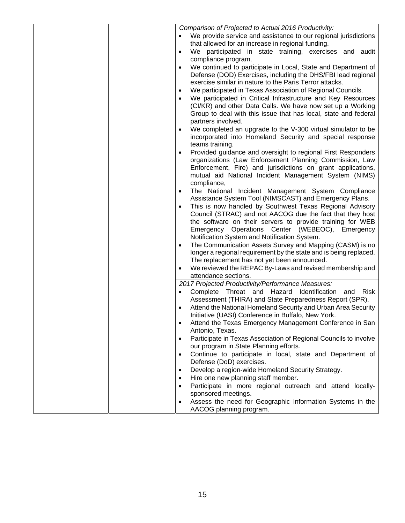|  | Comparison of Projected to Actual 2016 Productivity:                          |
|--|-------------------------------------------------------------------------------|
|  | We provide service and assistance to our regional jurisdictions               |
|  | that allowed for an increase in regional funding.                             |
|  | We participated in state training, exercises and audit<br>$\bullet$           |
|  | compliance program.                                                           |
|  | We continued to participate in Local, State and Department of<br>$\bullet$    |
|  | Defense (DOD) Exercises, including the DHS/FBI lead regional                  |
|  | exercise similar in nature to the Paris Terror attacks.                       |
|  | We participated in Texas Association of Regional Councils.<br>٠               |
|  | We participated in Critical Infrastructure and Key Resources                  |
|  | (CI/KR) and other Data Calls. We have now set up a Working                    |
|  | Group to deal with this issue that has local, state and federal               |
|  | partners involved.                                                            |
|  | We completed an upgrade to the V-300 virtual simulator to be<br>$\bullet$     |
|  | incorporated into Homeland Security and special response                      |
|  | teams training.                                                               |
|  | Provided guidance and oversight to regional First Responders<br>$\bullet$     |
|  | organizations (Law Enforcement Planning Commission, Law                       |
|  | Enforcement, Fire) and jurisdictions on grant applications,                   |
|  | mutual aid National Incident Management System (NIMS)<br>compliance,          |
|  | The National Incident Management System Compliance<br>$\bullet$               |
|  | Assistance System Tool (NIMSCAST) and Emergency Plans.                        |
|  | This is now handled by Southwest Texas Regional Advisory<br>$\bullet$         |
|  | Council (STRAC) and not AACOG due the fact that they host                     |
|  | the software on their servers to provide training for WEB                     |
|  | Emergency Operations Center (WEBEOC), Emergency                               |
|  | Notification System and Notification System.                                  |
|  | The Communication Assets Survey and Mapping (CASM) is no<br>$\bullet$         |
|  | longer a regional requirement by the state and is being replaced.             |
|  | The replacement has not yet been announced.                                   |
|  | We reviewed the REPAC By-Laws and revised membership and<br>٠                 |
|  | attendance sections.                                                          |
|  | 2017 Projected Productivity/Performance Measures:                             |
|  | Complete Threat and Hazard<br>Identification and<br>Risk<br>$\bullet$         |
|  | Assessment (THIRA) and State Preparedness Report (SPR).                       |
|  | Attend the National Homeland Security and Urban Area Security                 |
|  | Initiative (UASI) Conference in Buffalo, New York.                            |
|  | Attend the Texas Emergency Management Conference in San                       |
|  | Antonio, Texas.                                                               |
|  | Participate in Texas Association of Regional Councils to involve<br>$\bullet$ |
|  | our program in State Planning efforts.                                        |
|  | Continue to participate in local, state and Department of<br>$\bullet$        |
|  | Defense (DoD) exercises.                                                      |
|  | Develop a region-wide Homeland Security Strategy.<br>$\bullet$                |
|  | Hire one new planning staff member.<br>$\bullet$                              |
|  | Participate in more regional outreach and attend locally-<br>$\bullet$        |
|  | sponsored meetings.                                                           |
|  | Assess the need for Geographic Information Systems in the                     |
|  | AACOG planning program.                                                       |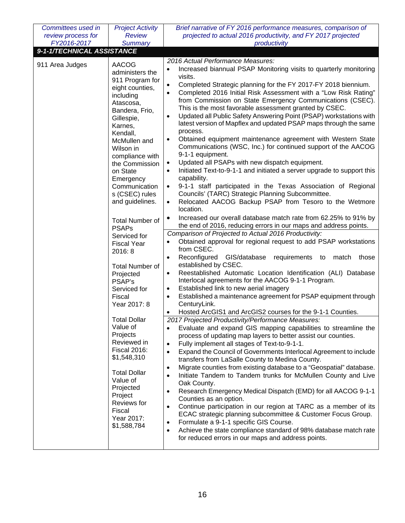| Committees used in                                           | <b>Project Activity</b>                                                                                                                                                                                                                                                                                                                                                                                                                                                                                                                                                                                                                                                                                 | Brief narrative of FY 2016 performance measures, comparison of                                                                                                                                                                                                                                                                                                                                                                                                                                                                                                                                                                                                                                                                                                                                                                                                                                                                                                                                                                                                                                                                                                                                                                                                                                                                                                                                                                                                                                                                                                                                                                                                                                                                                                                                                                                                                                                                                                                                                                                                                                                                                                                                                                                                                                                                                                                                                                                                                                                                                                                          |
|--------------------------------------------------------------|---------------------------------------------------------------------------------------------------------------------------------------------------------------------------------------------------------------------------------------------------------------------------------------------------------------------------------------------------------------------------------------------------------------------------------------------------------------------------------------------------------------------------------------------------------------------------------------------------------------------------------------------------------------------------------------------------------|-----------------------------------------------------------------------------------------------------------------------------------------------------------------------------------------------------------------------------------------------------------------------------------------------------------------------------------------------------------------------------------------------------------------------------------------------------------------------------------------------------------------------------------------------------------------------------------------------------------------------------------------------------------------------------------------------------------------------------------------------------------------------------------------------------------------------------------------------------------------------------------------------------------------------------------------------------------------------------------------------------------------------------------------------------------------------------------------------------------------------------------------------------------------------------------------------------------------------------------------------------------------------------------------------------------------------------------------------------------------------------------------------------------------------------------------------------------------------------------------------------------------------------------------------------------------------------------------------------------------------------------------------------------------------------------------------------------------------------------------------------------------------------------------------------------------------------------------------------------------------------------------------------------------------------------------------------------------------------------------------------------------------------------------------------------------------------------------------------------------------------------------------------------------------------------------------------------------------------------------------------------------------------------------------------------------------------------------------------------------------------------------------------------------------------------------------------------------------------------------------------------------------------------------------------------------------------------------|
| review process for                                           | <b>Review</b>                                                                                                                                                                                                                                                                                                                                                                                                                                                                                                                                                                                                                                                                                           | projected to actual 2016 productivity, and FY 2017 projected                                                                                                                                                                                                                                                                                                                                                                                                                                                                                                                                                                                                                                                                                                                                                                                                                                                                                                                                                                                                                                                                                                                                                                                                                                                                                                                                                                                                                                                                                                                                                                                                                                                                                                                                                                                                                                                                                                                                                                                                                                                                                                                                                                                                                                                                                                                                                                                                                                                                                                                            |
|                                                              |                                                                                                                                                                                                                                                                                                                                                                                                                                                                                                                                                                                                                                                                                                         |                                                                                                                                                                                                                                                                                                                                                                                                                                                                                                                                                                                                                                                                                                                                                                                                                                                                                                                                                                                                                                                                                                                                                                                                                                                                                                                                                                                                                                                                                                                                                                                                                                                                                                                                                                                                                                                                                                                                                                                                                                                                                                                                                                                                                                                                                                                                                                                                                                                                                                                                                                                         |
|                                                              |                                                                                                                                                                                                                                                                                                                                                                                                                                                                                                                                                                                                                                                                                                         |                                                                                                                                                                                                                                                                                                                                                                                                                                                                                                                                                                                                                                                                                                                                                                                                                                                                                                                                                                                                                                                                                                                                                                                                                                                                                                                                                                                                                                                                                                                                                                                                                                                                                                                                                                                                                                                                                                                                                                                                                                                                                                                                                                                                                                                                                                                                                                                                                                                                                                                                                                                         |
| FY2016-2017<br>9-1-1/TECHNICAL ASSISTANCE<br>911 Area Judges | <b>Summary</b><br><b>AACOG</b><br>administers the<br>911 Program for<br>eight counties,<br>including<br>Atascosa,<br>Bandera, Frio,<br>Gillespie,<br>Karnes,<br>Kendall,<br>McMullen and<br>Wilson in<br>compliance with<br>the Commission<br>on State<br>Emergency<br>Communication<br>s (CSEC) rules<br>and guidelines.<br><b>Total Number of</b><br><b>PSAPs</b><br>Serviced for<br><b>Fiscal Year</b><br>2016: 8<br><b>Total Number of</b><br>Projected<br>PSAP's<br>Serviced for<br>Fiscal<br>Year 2017: 8<br><b>Total Dollar</b><br>Value of<br>Projects<br>Reviewed in<br><b>Fiscal 2016:</b><br>\$1,548,310<br><b>Total Dollar</b><br>Value of<br>Projected<br>Project<br>Reviews for<br>Fiscal | productivity<br>2016 Actual Performance Measures:<br>Increased biannual PSAP Monitoring visits to quarterly monitoring<br>visits.<br>Completed Strategic planning for the FY 2017-FY 2018 biennium.<br>$\bullet$<br>Completed 2016 Initial Risk Assessment with a "Low Risk Rating"<br>$\bullet$<br>from Commission on State Emergency Communications (CSEC).<br>This is the most favorable assessment granted by CSEC.<br>Updated all Public Safety Answering Point (PSAP) workstations with<br>$\bullet$<br>latest version of Mapflex and updated PSAP maps through the same<br>process.<br>Obtained equipment maintenance agreement with Western State<br>Communications (WSC, Inc.) for continued support of the AACOG<br>9-1-1 equipment.<br>Updated all PSAPs with new dispatch equipment.<br>$\bullet$<br>Initiated Text-to-9-1-1 and initiated a server upgrade to support this<br>capability.<br>9-1-1 staff participated in the Texas Association of Regional<br>Councils' (TARC) Strategic Planning Subcommittee.<br>Relocated AACOG Backup PSAP from Tesoro to the Wetmore<br>location.<br>Increased our overall database match rate from 62.25% to 91% by<br>٠<br>the end of 2016, reducing errors in our maps and address points.<br>Comparison of Projected to Actual 2016 Productivity:<br>Obtained approval for regional request to add PSAP workstations<br>from CSEC.<br>Reconfigured<br>GIS/database<br>requirements<br>match<br>those<br>to<br>established by CSEC.<br>Reestablished Automatic Location Identification (ALI) Database<br>٠<br>Interlocal agreements for the AACOG 9-1-1 Program.<br>Established link to new aerial imagery<br>٠<br>Established a maintenance agreement for PSAP equipment through<br>CenturyLink.<br>Hosted ArcGIS1 and ArcGIS2 courses for the 9-1-1 Counties.<br>2017 Projected Productivity/Performance Measures:<br>Evaluate and expand GIS mapping capabilities to streamline the<br>process of updating map layers to better assist our counties.<br>Fully implement all stages of Text-to-9-1-1.<br>$\bullet$<br>Expand the Council of Governments Interlocal Agreement to include<br>$\bullet$<br>transfers from LaSalle County to Medina County.<br>Migrate counties from existing database to a "Geospatial" database.<br>$\bullet$<br>Initiate Tandem to Tandem trunks for McMullen County and Live<br>$\bullet$<br>Oak County.<br>Research Emergency Medical Dispatch (EMD) for all AACOG 9-1-1<br>$\bullet$<br>Counties as an option.<br>Continue participation in our region at TARC as a member of its<br>$\bullet$ |
|                                                              | Year 2017:<br>\$1,588,784                                                                                                                                                                                                                                                                                                                                                                                                                                                                                                                                                                                                                                                                               | ECAC strategic planning subcommittee & Customer Focus Group.<br>Formulate a 9-1-1 specific GIS Course.<br>$\bullet$<br>Achieve the state compliance standard of 98% database match rate                                                                                                                                                                                                                                                                                                                                                                                                                                                                                                                                                                                                                                                                                                                                                                                                                                                                                                                                                                                                                                                                                                                                                                                                                                                                                                                                                                                                                                                                                                                                                                                                                                                                                                                                                                                                                                                                                                                                                                                                                                                                                                                                                                                                                                                                                                                                                                                                 |
|                                                              |                                                                                                                                                                                                                                                                                                                                                                                                                                                                                                                                                                                                                                                                                                         | $\bullet$<br>for reduced errors in our maps and address points.                                                                                                                                                                                                                                                                                                                                                                                                                                                                                                                                                                                                                                                                                                                                                                                                                                                                                                                                                                                                                                                                                                                                                                                                                                                                                                                                                                                                                                                                                                                                                                                                                                                                                                                                                                                                                                                                                                                                                                                                                                                                                                                                                                                                                                                                                                                                                                                                                                                                                                                         |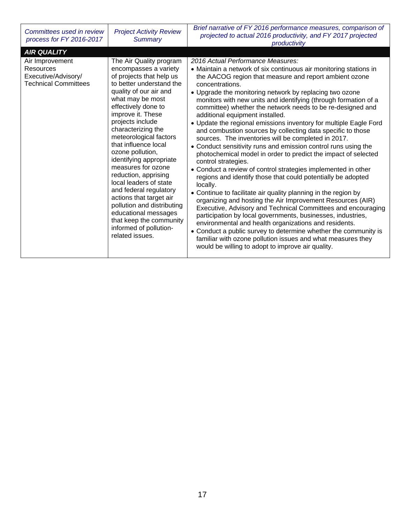| Committees used in review<br>process for FY 2016-2017                                                    | <b>Project Activity Review</b><br>Summary                                                                                                                                                                                                                                                                                                                                                                                                                                                                                                                                                                | Brief narrative of FY 2016 performance measures, comparison of<br>projected to actual 2016 productivity, and FY 2017 projected<br>productivity                                                                                                                                                                                                                                                                                                                                                                                                                                                                                                                                                                                                                                                                                                                                                                                                                                                                                                                                                                                                                                                                                                                                                                                                                                                                                       |
|----------------------------------------------------------------------------------------------------------|----------------------------------------------------------------------------------------------------------------------------------------------------------------------------------------------------------------------------------------------------------------------------------------------------------------------------------------------------------------------------------------------------------------------------------------------------------------------------------------------------------------------------------------------------------------------------------------------------------|--------------------------------------------------------------------------------------------------------------------------------------------------------------------------------------------------------------------------------------------------------------------------------------------------------------------------------------------------------------------------------------------------------------------------------------------------------------------------------------------------------------------------------------------------------------------------------------------------------------------------------------------------------------------------------------------------------------------------------------------------------------------------------------------------------------------------------------------------------------------------------------------------------------------------------------------------------------------------------------------------------------------------------------------------------------------------------------------------------------------------------------------------------------------------------------------------------------------------------------------------------------------------------------------------------------------------------------------------------------------------------------------------------------------------------------|
| <b>AIR QUALITY</b><br>Air Improvement<br>Resources<br>Executive/Advisory/<br><b>Technical Committees</b> | The Air Quality program<br>encompasses a variety<br>of projects that help us<br>to better understand the<br>quality of our air and<br>what may be most<br>effectively done to<br>improve it. These<br>projects include<br>characterizing the<br>meteorological factors<br>that influence local<br>ozone pollution,<br>identifying appropriate<br>measures for ozone<br>reduction, apprising<br>local leaders of state<br>and federal regulatory<br>actions that target air<br>pollution and distributing<br>educational messages<br>that keep the community<br>informed of pollution-<br>related issues. | 2016 Actual Performance Measures:<br>• Maintain a network of six continuous air monitoring stations in<br>the AACOG region that measure and report ambient ozone<br>concentrations.<br>• Upgrade the monitoring network by replacing two ozone<br>monitors with new units and identifying (through formation of a<br>committee) whether the network needs to be re-designed and<br>additional equipment installed.<br>• Update the regional emissions inventory for multiple Eagle Ford<br>and combustion sources by collecting data specific to those<br>sources. The inventories will be completed in 2017.<br>• Conduct sensitivity runs and emission control runs using the<br>photochemical model in order to predict the impact of selected<br>control strategies.<br>• Conduct a review of control strategies implemented in other<br>regions and identify those that could potentially be adopted<br>locally.<br>• Continue to facilitate air quality planning in the region by<br>organizing and hosting the Air Improvement Resources (AIR)<br>Executive, Advisory and Technical Committees and encouraging<br>participation by local governments, businesses, industries,<br>environmental and health organizations and residents.<br>• Conduct a public survey to determine whether the community is<br>familiar with ozone pollution issues and what measures they<br>would be willing to adopt to improve air quality. |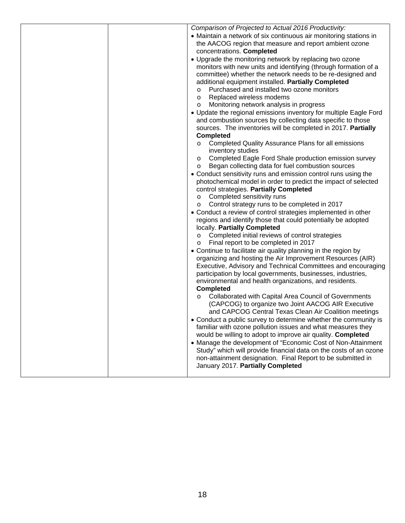| Comparison of Projected to Actual 2016 Productivity:              |
|-------------------------------------------------------------------|
| • Maintain a network of six continuous air monitoring stations in |
| the AACOG region that measure and report ambient ozone            |
| concentrations. Completed                                         |
| • Upgrade the monitoring network by replacing two ozone           |
| monitors with new units and identifying (through formation of a   |
| committee) whether the network needs to be re-designed and        |
| additional equipment installed. Partially Completed               |
| Purchased and installed two ozone monitors<br>O                   |
| Replaced wireless modems<br>$\circ$                               |
| Monitoring network analysis in progress<br>$\circ$                |
| • Update the regional emissions inventory for multiple Eagle Ford |
| and combustion sources by collecting data specific to those       |
| sources. The inventories will be completed in 2017. Partially     |
| <b>Completed</b>                                                  |
| Completed Quality Assurance Plans for all emissions               |
| inventory studies                                                 |
| Completed Eagle Ford Shale production emission survey<br>$\circ$  |
| Began collecting data for fuel combustion sources<br>O            |
| • Conduct sensitivity runs and emission control runs using the    |
| photochemical model in order to predict the impact of selected    |
| control strategies. Partially Completed                           |
| Completed sensitivity runs<br>O                                   |
| Control strategy runs to be completed in 2017<br>$\circ$          |
| • Conduct a review of control strategies implemented in other     |
| regions and identify those that could potentially be adopted      |
| locally. Partially Completed                                      |
| Completed initial reviews of control strategies<br>O              |
| Final report to be completed in 2017<br>O                         |
| • Continue to facilitate air quality planning in the region by    |
| organizing and hosting the Air Improvement Resources (AIR)        |
| Executive, Advisory and Technical Committees and encouraging      |
| participation by local governments, businesses, industries,       |
| environmental and health organizations, and residents.            |
| <b>Completed</b>                                                  |
| Collaborated with Capital Area Council of Governments<br>$\circ$  |
| (CAPCOG) to organize two Joint AACOG AIR Executive                |
| and CAPCOG Central Texas Clean Air Coalition meetings             |
| Conduct a public survey to determine whether the community is     |
| familiar with ozone pollution issues and what measures they       |
| would be willing to adopt to improve air quality. Completed       |
| • Manage the development of "Economic Cost of Non-Attainment      |
| Study" which will provide financial data on the costs of an ozone |
| non-attainment designation. Final Report to be submitted in       |
| January 2017. Partially Completed                                 |
|                                                                   |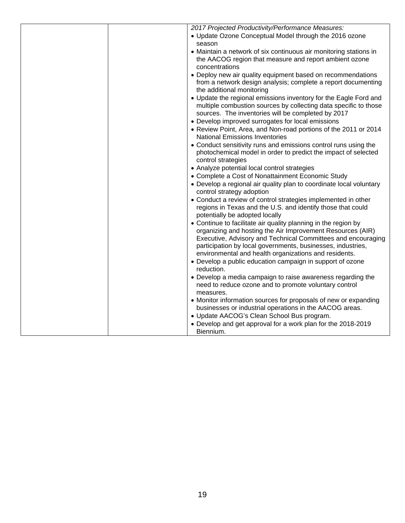|  | 2017 Projected Productivity/Performance Measures:                                                                                                              |
|--|----------------------------------------------------------------------------------------------------------------------------------------------------------------|
|  | • Update Ozone Conceptual Model through the 2016 ozone                                                                                                         |
|  | season                                                                                                                                                         |
|  | • Maintain a network of six continuous air monitoring stations in                                                                                              |
|  | the AACOG region that measure and report ambient ozone                                                                                                         |
|  | concentrations                                                                                                                                                 |
|  | • Deploy new air quality equipment based on recommendations<br>from a network design analysis; complete a report documenting                                   |
|  | the additional monitoring                                                                                                                                      |
|  | • Update the regional emissions inventory for the Eagle Ford and                                                                                               |
|  | multiple combustion sources by collecting data specific to those<br>sources. The inventories will be completed by 2017                                         |
|  | • Develop improved surrogates for local emissions                                                                                                              |
|  | • Review Point, Area, and Non-road portions of the 2011 or 2014<br><b>National Emissions Inventories</b>                                                       |
|  | • Conduct sensitivity runs and emissions control runs using the                                                                                                |
|  | photochemical model in order to predict the impact of selected<br>control strategies                                                                           |
|  | • Analyze potential local control strategies                                                                                                                   |
|  | • Complete a Cost of Nonattainment Economic Study                                                                                                              |
|  | • Develop a regional air quality plan to coordinate local voluntary                                                                                            |
|  | control strategy adoption                                                                                                                                      |
|  | • Conduct a review of control strategies implemented in other<br>regions in Texas and the U.S. and identify those that could<br>potentially be adopted locally |
|  | • Continue to facilitate air quality planning in the region by                                                                                                 |
|  | organizing and hosting the Air Improvement Resources (AIR)<br>Executive, Advisory and Technical Committees and encouraging                                     |
|  | participation by local governments, businesses, industries,<br>environmental and health organizations and residents.                                           |
|  | • Develop a public education campaign in support of ozone                                                                                                      |
|  | reduction.                                                                                                                                                     |
|  | • Develop a media campaign to raise awareness regarding the                                                                                                    |
|  | need to reduce ozone and to promote voluntary control<br>measures.                                                                                             |
|  | • Monitor information sources for proposals of new or expanding                                                                                                |
|  | businesses or industrial operations in the AACOG areas.                                                                                                        |
|  | • Update AACOG's Clean School Bus program.                                                                                                                     |
|  | • Develop and get approval for a work plan for the 2018-2019<br>Biennium.                                                                                      |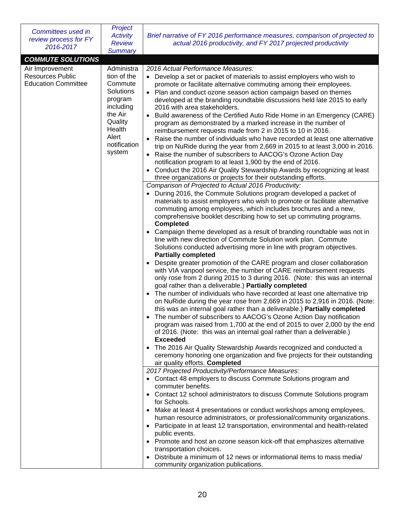| Committees used in<br>review process for FY<br>2016-2017                 | Project<br><b>Activity</b><br><b>Review</b><br><b>Summary</b>                                                                                | Brief narrative of FY 2016 performance measures, comparison of projected to<br>actual 2016 productivity, and FY 2017 projected productivity                                                                                                                                                                                                                                                                                                                                                                                                                                                                                                                                                                                                                                                                                                                                                                                                                                                                                                                                                                                                                                                                                                                                                                                                                                                                                                                                                                                                                                                                                                    |
|--------------------------------------------------------------------------|----------------------------------------------------------------------------------------------------------------------------------------------|------------------------------------------------------------------------------------------------------------------------------------------------------------------------------------------------------------------------------------------------------------------------------------------------------------------------------------------------------------------------------------------------------------------------------------------------------------------------------------------------------------------------------------------------------------------------------------------------------------------------------------------------------------------------------------------------------------------------------------------------------------------------------------------------------------------------------------------------------------------------------------------------------------------------------------------------------------------------------------------------------------------------------------------------------------------------------------------------------------------------------------------------------------------------------------------------------------------------------------------------------------------------------------------------------------------------------------------------------------------------------------------------------------------------------------------------------------------------------------------------------------------------------------------------------------------------------------------------------------------------------------------------|
| <b>COMMUTE SOLUTIONS</b>                                                 |                                                                                                                                              |                                                                                                                                                                                                                                                                                                                                                                                                                                                                                                                                                                                                                                                                                                                                                                                                                                                                                                                                                                                                                                                                                                                                                                                                                                                                                                                                                                                                                                                                                                                                                                                                                                                |
| Air Improvement<br><b>Resources Public</b><br><b>Education Committee</b> | Administra<br>tion of the<br>Commute<br>Solutions<br>program<br>including<br>the Air<br>Quality<br>Health<br>Alert<br>notification<br>system | 2016 Actual Performance Measures:<br>• Develop a set or packet of materials to assist employers who wish to<br>promote or facilitate alternative commuting among their employees.<br>• Plan and conduct ozone season action campaign based on themes<br>developed at the branding roundtable discussions held late 2015 to early<br>2016 with area stakeholders.<br>Build awareness of the Certified Auto Ride Home in an Emergency (CARE)<br>$\bullet$<br>program as demonstrated by a marked increase in the number of<br>reimbursement requests made from 2 in 2015 to 10 in 2016.<br>Raise the number of individuals who have recorded at least one alternative<br>$\bullet$<br>trip on NuRide during the year from 2,669 in 2015 to at least 3,000 in 2016.<br>Raise the number of subscribers to AACOG's Ozone Action Day<br>$\bullet$<br>notification program to at least 1,900 by the end of 2016.<br>Conduct the 2016 Air Quality Stewardship Awards by recognizing at least<br>$\bullet$<br>three organizations or projects for their outstanding efforts.                                                                                                                                                                                                                                                                                                                                                                                                                                                                                                                                                                           |
|                                                                          |                                                                                                                                              | Comparison of Projected to Actual 2016 Productivity:<br>During 2016, the Commute Solutions program developed a packet of<br>materials to assist employers who wish to promote or facilitate alternative<br>commuting among employees, which includes brochures and a new,<br>comprehensive booklet describing how to set up commuting programs.<br><b>Completed</b><br>Campaign theme developed as a result of branding roundtable was not in<br>line with new direction of Commute Solution work plan. Commute<br>Solutions conducted advertising more in line with program objectives.<br><b>Partially completed</b><br>Despite greater promotion of the CARE program and closer collaboration<br>$\bullet$<br>with VIA vanpool service, the number of CARE reimbursement requests<br>only rose from 2 during 2015 to 3 during 2016. (Note: this was an internal<br>goal rather than a deliverable.) Partially completed<br>The number of individuals who have recorded at least one alternative trip<br>$\bullet$<br>on NuRide during the year rose from 2,669 in 2015 to 2,916 in 2016. (Note:<br>this was an internal goal rather than a deliverable.) Partially completed<br>The number of subscribers to AACOG's Ozone Action Day notification<br>$\bullet$<br>program was raised from 1,700 at the end of 2015 to over 2,000 by the end<br>of 2016. (Note: this was an internal goal rather than a deliverable.)<br><b>Exceeded</b><br>The 2016 Air Quality Stewardship Awards recognized and conducted a<br>$\bullet$<br>ceremony honoring one organization and five projects for their outstanding<br>air quality efforts. Completed |
|                                                                          |                                                                                                                                              | 2017 Projected Productivity/Performance Measures:<br>• Contact 48 employers to discuss Commute Solutions program and<br>commuter benefits.<br>Contact 12 school administrators to discuss Commute Solutions program<br>for Schools.<br>Make at least 4 presentations or conduct workshops among employees,<br>human resource administrators, or professional/community organizations.<br>• Participate in at least 12 transportation, environmental and health-related<br>public events.<br>• Promote and host an ozone season kick-off that emphasizes alternative<br>transportation choices.<br>Distribute a minimum of 12 news or informational items to mass media/<br>community organization publications.                                                                                                                                                                                                                                                                                                                                                                                                                                                                                                                                                                                                                                                                                                                                                                                                                                                                                                                                |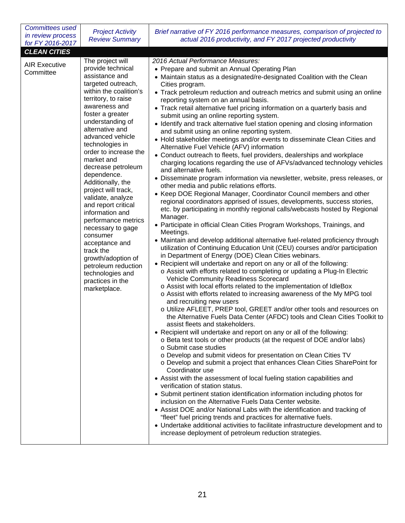| <b>Committees used</b><br>in review process<br>for FY 2016-2017 | <b>Project Activity</b><br><b>Review Summary</b>                                                                                                                                                                                                                                                                                                                                                                                                                                                                                                                                                                                     | Brief narrative of FY 2016 performance measures, comparison of projected to<br>actual 2016 productivity, and FY 2017 projected productivity                                                                                                                                                                                                                                                                                                                                                                                                                                                                                                                                                                                                                                                                                                                                                                                                                                                                                                                                                                                                                                                                                                                                                                                                                                                                                                                                                                                                                                                                                                                                                                                                                                                                                                                                                                                                                                                                                                                                                                                                                                                                                                                                                                                                                                                                                                                                                                                                                                                                                                                                                                                                                                                                                                                                                                                                                                                                                                                     |
|-----------------------------------------------------------------|--------------------------------------------------------------------------------------------------------------------------------------------------------------------------------------------------------------------------------------------------------------------------------------------------------------------------------------------------------------------------------------------------------------------------------------------------------------------------------------------------------------------------------------------------------------------------------------------------------------------------------------|-----------------------------------------------------------------------------------------------------------------------------------------------------------------------------------------------------------------------------------------------------------------------------------------------------------------------------------------------------------------------------------------------------------------------------------------------------------------------------------------------------------------------------------------------------------------------------------------------------------------------------------------------------------------------------------------------------------------------------------------------------------------------------------------------------------------------------------------------------------------------------------------------------------------------------------------------------------------------------------------------------------------------------------------------------------------------------------------------------------------------------------------------------------------------------------------------------------------------------------------------------------------------------------------------------------------------------------------------------------------------------------------------------------------------------------------------------------------------------------------------------------------------------------------------------------------------------------------------------------------------------------------------------------------------------------------------------------------------------------------------------------------------------------------------------------------------------------------------------------------------------------------------------------------------------------------------------------------------------------------------------------------------------------------------------------------------------------------------------------------------------------------------------------------------------------------------------------------------------------------------------------------------------------------------------------------------------------------------------------------------------------------------------------------------------------------------------------------------------------------------------------------------------------------------------------------------------------------------------------------------------------------------------------------------------------------------------------------------------------------------------------------------------------------------------------------------------------------------------------------------------------------------------------------------------------------------------------------------------------------------------------------------------------------------------------------|
| <b>CLEAN CITIES</b>                                             |                                                                                                                                                                                                                                                                                                                                                                                                                                                                                                                                                                                                                                      |                                                                                                                                                                                                                                                                                                                                                                                                                                                                                                                                                                                                                                                                                                                                                                                                                                                                                                                                                                                                                                                                                                                                                                                                                                                                                                                                                                                                                                                                                                                                                                                                                                                                                                                                                                                                                                                                                                                                                                                                                                                                                                                                                                                                                                                                                                                                                                                                                                                                                                                                                                                                                                                                                                                                                                                                                                                                                                                                                                                                                                                                 |
| <b>AIR Executive</b><br>Committee                               | The project will<br>provide technical<br>assistance and<br>targeted outreach,<br>within the coalition's<br>territory, to raise<br>awareness and<br>foster a greater<br>understanding of<br>alternative and<br>advanced vehicle<br>technologies in<br>order to increase the<br>market and<br>decrease petroleum<br>dependence.<br>Additionally, the<br>project will track,<br>validate, analyze<br>and report critical<br>information and<br>performance metrics<br>necessary to gage<br>consumer<br>acceptance and<br>track the<br>growth/adoption of<br>petroleum reduction<br>technologies and<br>practices in the<br>marketplace. | 2016 Actual Performance Measures:<br>• Prepare and submit an Annual Operating Plan<br>• Maintain status as a designated/re-designated Coalition with the Clean<br>Cities program.<br>• Track petroleum reduction and outreach metrics and submit using an online<br>reporting system on an annual basis.<br>• Track retail alternative fuel pricing information on a quarterly basis and<br>submit using an online reporting system.<br>• Identify and track alternative fuel station opening and closing information<br>and submit using an online reporting system.<br>• Hold stakeholder meetings and/or events to disseminate Clean Cities and<br>Alternative Fuel Vehicle (AFV) information<br>• Conduct outreach to fleets, fuel providers, dealerships and workplace<br>charging locations regarding the use of AFVs/advanced technology vehicles<br>and alternative fuels.<br>• Disseminate program information via newsletter, website, press releases, or<br>other media and public relations efforts.<br>• Keep DOE Regional Manager, Coordinator Council members and other<br>regional coordinators apprised of issues, developments, success stories,<br>etc. by participating in monthly regional calls/webcasts hosted by Regional<br>Manager.<br>• Participate in official Clean Cities Program Workshops, Trainings, and<br>Meetings.<br>• Maintain and develop additional alternative fuel-related proficiency through<br>utilization of Continuing Education Unit (CEU) courses and/or participation<br>in Department of Energy (DOE) Clean Cities webinars.<br>• Recipient will undertake and report on any or all of the following:<br>o Assist with efforts related to completing or updating a Plug-In Electric<br>Vehicle Community Readiness Scorecard<br>o Assist with local efforts related to the implementation of IdleBox<br>o Assist with efforts related to increasing awareness of the My MPG tool<br>and recruiting new users<br>o Utilize AFLEET, PREP tool, GREET and/or other tools and resources on<br>the Alternative Fuels Data Center (AFDC) tools and Clean Cities Toolkit to<br>assist fleets and stakeholders.<br>• Recipient will undertake and report on any or all of the following:<br>o Beta test tools or other products (at the request of DOE and/or labs)<br>o Submit case studies<br>o Develop and submit videos for presentation on Clean Cities TV<br>o Develop and submit a project that enhances Clean Cities SharePoint for<br>Coordinator use<br>• Assist with the assessment of local fueling station capabilities and<br>verification of station status.<br>• Submit pertinent station identification information including photos for<br>inclusion on the Alternative Fuels Data Center website.<br>• Assist DOE and/or National Labs with the identification and tracking of<br>"fleet" fuel pricing trends and practices for alternative fuels.<br>• Undertake additional activities to facilitate infrastructure development and to<br>increase deployment of petroleum reduction strategies. |
|                                                                 |                                                                                                                                                                                                                                                                                                                                                                                                                                                                                                                                                                                                                                      |                                                                                                                                                                                                                                                                                                                                                                                                                                                                                                                                                                                                                                                                                                                                                                                                                                                                                                                                                                                                                                                                                                                                                                                                                                                                                                                                                                                                                                                                                                                                                                                                                                                                                                                                                                                                                                                                                                                                                                                                                                                                                                                                                                                                                                                                                                                                                                                                                                                                                                                                                                                                                                                                                                                                                                                                                                                                                                                                                                                                                                                                 |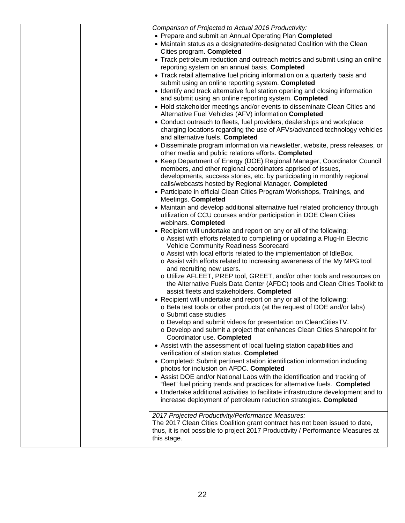|  | Comparison of Projected to Actual 2016 Productivity:                                                                                |
|--|-------------------------------------------------------------------------------------------------------------------------------------|
|  | • Prepare and submit an Annual Operating Plan Completed                                                                             |
|  | • Maintain status as a designated/re-designated Coalition with the Clean                                                            |
|  | Cities program. Completed                                                                                                           |
|  | • Track petroleum reduction and outreach metrics and submit using an online                                                         |
|  | reporting system on an annual basis. Completed                                                                                      |
|  | • Track retail alternative fuel pricing information on a quarterly basis and                                                        |
|  | submit using an online reporting system. Completed<br>• Identify and track alternative fuel station opening and closing information |
|  | and submit using an online reporting system. Completed                                                                              |
|  | • Hold stakeholder meetings and/or events to disseminate Clean Cities and                                                           |
|  | Alternative Fuel Vehicles (AFV) information Completed                                                                               |
|  | • Conduct outreach to fleets, fuel providers, dealerships and workplace                                                             |
|  | charging locations regarding the use of AFVs/advanced technology vehicles                                                           |
|  | and alternative fuels. Completed                                                                                                    |
|  | • Disseminate program information via newsletter, website, press releases, or                                                       |
|  | other media and public relations efforts. Completed                                                                                 |
|  | • Keep Department of Energy (DOE) Regional Manager, Coordinator Council                                                             |
|  | members, and other regional coordinators apprised of issues,                                                                        |
|  | developments, success stories, etc. by participating in monthly regional                                                            |
|  | calls/webcasts hosted by Regional Manager. Completed                                                                                |
|  | • Participate in official Clean Cities Program Workshops, Trainings, and                                                            |
|  | Meetings. Completed                                                                                                                 |
|  | • Maintain and develop additional alternative fuel related proficiency through                                                      |
|  | utilization of CCU courses and/or participation in DOE Clean Cities                                                                 |
|  | webinars. Completed                                                                                                                 |
|  | • Recipient will undertake and report on any or all of the following:                                                               |
|  | o Assist with efforts related to completing or updating a Plug-In Electric                                                          |
|  | <b>Vehicle Community Readiness Scorecard</b><br>o Assist with local efforts related to the implementation of IdleBox.               |
|  | o Assist with efforts related to increasing awareness of the My MPG tool                                                            |
|  | and recruiting new users.                                                                                                           |
|  | o Utilize AFLEET, PREP tool, GREET, and/or other tools and resources on                                                             |
|  | the Alternative Fuels Data Center (AFDC) tools and Clean Cities Toolkit to                                                          |
|  | assist fleets and stakeholders. Completed                                                                                           |
|  | • Recipient will undertake and report on any or all of the following:                                                               |
|  | o Beta test tools or other products (at the request of DOE and/or labs)                                                             |
|  | ○ Submit case studies                                                                                                               |
|  | o Develop and submit videos for presentation on CleanCitiesTV.                                                                      |
|  | o Develop and submit a project that enhances Clean Cities Sharepoint for                                                            |
|  | Coordinator use. Completed                                                                                                          |
|  | • Assist with the assessment of local fueling station capabilities and                                                              |
|  | verification of station status. Completed<br>• Completed: Submit pertinent station identification information including             |
|  | photos for inclusion on AFDC. Completed                                                                                             |
|  | • Assist DOE and/or National Labs with the identification and tracking of                                                           |
|  | "fleet" fuel pricing trends and practices for alternative fuels. Completed                                                          |
|  | • Undertake additional activities to facilitate infrastructure development and to                                                   |
|  | increase deployment of petroleum reduction strategies. Completed                                                                    |
|  |                                                                                                                                     |
|  | 2017 Projected Productivity/Performance Measures:                                                                                   |
|  | The 2017 Clean Cities Coalition grant contract has not been issued to date,                                                         |
|  | thus, it is not possible to project 2017 Productivity / Performance Measures at                                                     |
|  | this stage.                                                                                                                         |
|  |                                                                                                                                     |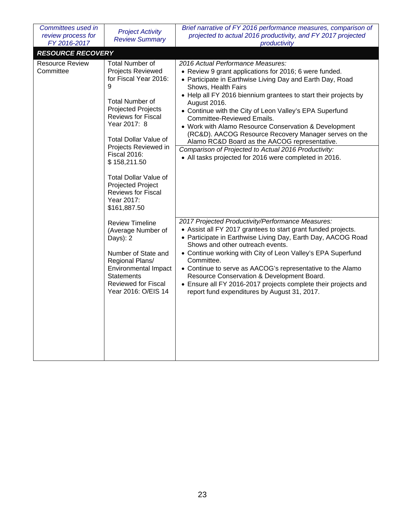| Committees used in<br>review process for<br>FY 2016-2017                                                                                                                    | <b>Project Activity</b><br><b>Review Summary</b>                                                                                                                                                            | Brief narrative of FY 2016 performance measures, comparison of<br>projected to actual 2016 productivity, and FY 2017 projected<br>productivity                                                                                                                                                                                                                                                                                                                                                                                    |
|-----------------------------------------------------------------------------------------------------------------------------------------------------------------------------|-------------------------------------------------------------------------------------------------------------------------------------------------------------------------------------------------------------|-----------------------------------------------------------------------------------------------------------------------------------------------------------------------------------------------------------------------------------------------------------------------------------------------------------------------------------------------------------------------------------------------------------------------------------------------------------------------------------------------------------------------------------|
| <b>RESOURCE RECOVERY</b>                                                                                                                                                    |                                                                                                                                                                                                             |                                                                                                                                                                                                                                                                                                                                                                                                                                                                                                                                   |
| <b>Resource Review</b><br>Committee                                                                                                                                         | <b>Total Number of</b><br><b>Projects Reviewed</b><br>for Fiscal Year 2016:<br>9<br><b>Total Number of</b><br>Projected Projects<br>Reviews for Fiscal<br>Year 2017: 8<br><b>Total Dollar Value of</b>      | 2016 Actual Performance Measures:<br>• Review 9 grant applications for 2016; 6 were funded.<br>• Participate in Earthwise Living Day and Earth Day, Road<br>Shows, Health Fairs<br>• Help all FY 2016 biennium grantees to start their projects by<br>August 2016.<br>• Continue with the City of Leon Valley's EPA Superfund<br>Committee-Reviewed Emails.<br>• Work with Alamo Resource Conservation & Development<br>(RC&D). AACOG Resource Recovery Manager serves on the<br>Alamo RC&D Board as the AACOG representative.    |
| Projects Reviewed in<br><b>Fiscal 2016:</b><br>\$158,211.50<br><b>Total Dollar Value of</b><br>Projected Project<br><b>Reviews for Fiscal</b><br>Year 2017:<br>\$161,887.50 | Comparison of Projected to Actual 2016 Productivity:<br>• All tasks projected for 2016 were completed in 2016.                                                                                              |                                                                                                                                                                                                                                                                                                                                                                                                                                                                                                                                   |
|                                                                                                                                                                             | <b>Review Timeline</b><br>(Average Number of<br>Days): 2<br>Number of State and<br>Regional Plans/<br><b>Environmental Impact</b><br><b>Statements</b><br><b>Reviewed for Fiscal</b><br>Year 2016: O/EIS 14 | 2017 Projected Productivity/Performance Measures:<br>• Assist all FY 2017 grantees to start grant funded projects.<br>• Participate in Earthwise Living Day, Earth Day, AACOG Road<br>Shows and other outreach events.<br>• Continue working with City of Leon Valley's EPA Superfund<br>Committee.<br>• Continue to serve as AACOG's representative to the Alamo<br>Resource Conservation & Development Board.<br>• Ensure all FY 2016-2017 projects complete their projects and<br>report fund expenditures by August 31, 2017. |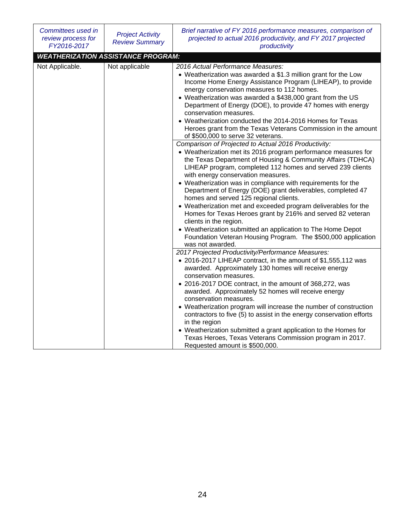| Committees used in<br>review process for<br>FY2016-2017 | <b>Project Activity</b><br><b>Review Summary</b> | Brief narrative of FY 2016 performance measures, comparison of<br>projected to actual 2016 productivity, and FY 2017 projected<br>productivity                                                                                                                                                                                                                                                                                                                                                                                                                                                                                                                                                                                                                                   |
|---------------------------------------------------------|--------------------------------------------------|----------------------------------------------------------------------------------------------------------------------------------------------------------------------------------------------------------------------------------------------------------------------------------------------------------------------------------------------------------------------------------------------------------------------------------------------------------------------------------------------------------------------------------------------------------------------------------------------------------------------------------------------------------------------------------------------------------------------------------------------------------------------------------|
|                                                         | <b>WEATHERIZATION ASSISTANCE PROGRAM:</b>        |                                                                                                                                                                                                                                                                                                                                                                                                                                                                                                                                                                                                                                                                                                                                                                                  |
| Not Applicable.                                         | Not applicable                                   | 2016 Actual Performance Measures:<br>• Weatherization was awarded a \$1.3 million grant for the Low<br>Income Home Energy Assistance Program (LIHEAP), to provide<br>energy conservation measures to 112 homes.<br>• Weatherization was awarded a \$438,000 grant from the US<br>Department of Energy (DOE), to provide 47 homes with energy<br>conservation measures.<br>• Weatherization conducted the 2014-2016 Homes for Texas<br>Heroes grant from the Texas Veterans Commission in the amount<br>of \$500,000 to serve 32 veterans.                                                                                                                                                                                                                                        |
|                                                         |                                                  | Comparison of Projected to Actual 2016 Productivity:<br>• Weatherization met its 2016 program performance measures for<br>the Texas Department of Housing & Community Affairs (TDHCA)<br>LIHEAP program, completed 112 homes and served 239 clients<br>with energy conservation measures.<br>• Weatherization was in compliance with requirements for the<br>Department of Energy (DOE) grant deliverables, completed 47<br>homes and served 125 regional clients.<br>• Weatherization met and exceeded program deliverables for the<br>Homes for Texas Heroes grant by 216% and served 82 veteran<br>clients in the region.<br>• Weatherization submitted an application to The Home Depot<br>Foundation Veteran Housing Program. The \$500,000 application<br>was not awarded. |
|                                                         |                                                  | 2017 Projected Productivity/Performance Measures:<br>• 2016-2017 LIHEAP contract, in the amount of \$1,555,112 was<br>awarded. Approximately 130 homes will receive energy<br>conservation measures.<br>• 2016-2017 DOE contract, in the amount of 368,272, was<br>awarded. Approximately 52 homes will receive energy<br>conservation measures.<br>• Weatherization program will increase the number of construction<br>contractors to five (5) to assist in the energy conservation efforts<br>in the region<br>• Weatherization submitted a grant application to the Homes for<br>Texas Heroes, Texas Veterans Commission program in 2017.<br>Requested amount is \$500,000.                                                                                                  |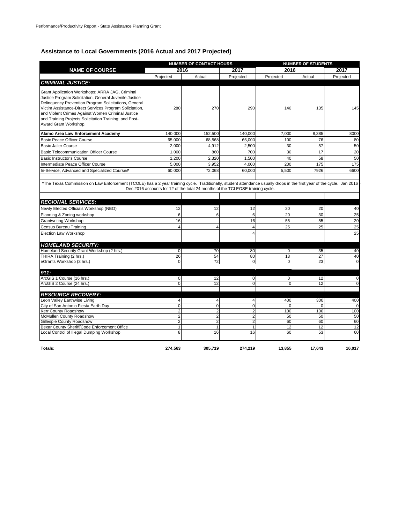#### **Assistance to Local Governments (2016 Actual and 2017 Projected)**

|                                                                                                                                                                                                                                                                                                                                                                       |                            | <b>NUMBER OF CONTACT HOURS</b>                                                 |                         |                               | <b>NUMBER OF STUDENTS</b> |               |  |
|-----------------------------------------------------------------------------------------------------------------------------------------------------------------------------------------------------------------------------------------------------------------------------------------------------------------------------------------------------------------------|----------------------------|--------------------------------------------------------------------------------|-------------------------|-------------------------------|---------------------------|---------------|--|
| <b>NAME OF COURSE</b>                                                                                                                                                                                                                                                                                                                                                 |                            | 2016                                                                           | 2017                    | 2016                          |                           | 2017          |  |
|                                                                                                                                                                                                                                                                                                                                                                       | Projected                  | Actual                                                                         | Projected               | Projected                     | Actual                    | Projected     |  |
| <b>CRIMINAL JUSTICE:</b>                                                                                                                                                                                                                                                                                                                                              |                            |                                                                                |                         |                               |                           |               |  |
| Grant Application Workshops: ARRA JAG, Criminal<br>Justice Program Solicitation, General Juvenile Justice<br>Delinquency Prevention Program Solicitations, General<br>Victim Assistance-Direct Services Program Solicitation,<br>and Violent Crimes Against Women Criminal Justice<br>and Training Projects Solicitation Training; and Post-<br>Award Grant Workshop. | 280                        | 270                                                                            | 290                     | 140                           | 135                       | 145           |  |
| Alamo Area Law Enforcement Academy                                                                                                                                                                                                                                                                                                                                    | 140.000                    | 152.500                                                                        | 140.000                 | 7,000                         | 8,385                     | 8000          |  |
| Basic Peace Officer Course                                                                                                                                                                                                                                                                                                                                            | 65,000                     | 68,568                                                                         | 65,000                  | 100                           | 76                        | 80            |  |
| <b>Basic Jailer Course</b>                                                                                                                                                                                                                                                                                                                                            | 2.000                      | 4.912                                                                          | 2.500                   | 30                            | 57                        | 50            |  |
| <b>Basic Telecommunication Officer Course</b>                                                                                                                                                                                                                                                                                                                         | 1,000                      | 860                                                                            | 700                     | 30                            | 17                        | 20            |  |
| <b>Basic Instructor's Course</b>                                                                                                                                                                                                                                                                                                                                      | 1,200                      | 2,320                                                                          | 1,500                   | 40                            | 58                        | 50            |  |
| Intermediate Peace Officer Course                                                                                                                                                                                                                                                                                                                                     | 5,000                      | 3,952                                                                          | 4,000                   | 200                           | 175                       | 175           |  |
| In-Service, Advanced and Specialized Courses*                                                                                                                                                                                                                                                                                                                         | 60,000                     | 72,068                                                                         | 60,000                  | 5.500                         | 7926                      | 6600          |  |
|                                                                                                                                                                                                                                                                                                                                                                       |                            |                                                                                |                         |                               |                           |               |  |
| *The Texas Commission on Law Enforcement (TCOLE) has a 2 year training cycle. Traditionally, student attendance usually drops in the first year of the cycle. Jan 2016                                                                                                                                                                                                |                            | Dec 2016 accounts for 12 of the total 24 months of the TCLEOSE training cycle. |                         |                               |                           |               |  |
| <b>REGIONAL SERVICES:</b>                                                                                                                                                                                                                                                                                                                                             |                            |                                                                                |                         |                               |                           |               |  |
| Newly Elected Officials Workshop (NEO)                                                                                                                                                                                                                                                                                                                                | 12                         | 12                                                                             | 12                      | 20                            | 20                        | 40            |  |
| Planning & Zoning workshop                                                                                                                                                                                                                                                                                                                                            | 6                          | 6                                                                              | 6                       | 20                            | 30                        | 25            |  |
| <b>Grantwriting Workshop</b>                                                                                                                                                                                                                                                                                                                                          | 16                         |                                                                                | 16                      | 55                            | 55                        | 20            |  |
| Census Bureau Training                                                                                                                                                                                                                                                                                                                                                | 4                          | 4                                                                              | 4                       | 25                            | 25                        | 25            |  |
| Election Law Workshop                                                                                                                                                                                                                                                                                                                                                 |                            |                                                                                | 4                       |                               |                           | 25            |  |
|                                                                                                                                                                                                                                                                                                                                                                       |                            |                                                                                |                         |                               |                           |               |  |
| <b>HOMELAND SECURITY:</b>                                                                                                                                                                                                                                                                                                                                             |                            |                                                                                |                         |                               |                           |               |  |
| Homeland Security Grant Workshop (2 hrs.)                                                                                                                                                                                                                                                                                                                             | $\mathbf 0$                | 70                                                                             | 80                      | 0                             | 35                        | 40            |  |
| THIRA Training (2 hrs.)                                                                                                                                                                                                                                                                                                                                               | 26                         | 54                                                                             | 80                      | 13                            | 27                        | 40            |  |
| eGrants Workshop (3 hrs.)                                                                                                                                                                                                                                                                                                                                             | $\mathbf 0$                | 72                                                                             | $\mathbf 0$             | 0                             | 23                        | $\Omega$      |  |
|                                                                                                                                                                                                                                                                                                                                                                       |                            |                                                                                |                         |                               |                           |               |  |
| 911:                                                                                                                                                                                                                                                                                                                                                                  |                            |                                                                                |                         |                               |                           |               |  |
| ArcGIS 1 Course (16 hrs.)<br>ArcGIS 2 Course (24 hrs.)                                                                                                                                                                                                                                                                                                                | $\mathbf 0$<br>$\mathbf 0$ | 12<br>12                                                                       | $\mathbf 0$<br>$\Omega$ | $\mathbf 0$<br>$\overline{0}$ | 12<br>12                  | 0<br>$\Omega$ |  |
|                                                                                                                                                                                                                                                                                                                                                                       |                            |                                                                                |                         |                               |                           |               |  |
| <b>RESOURCE RECOVERY:</b>                                                                                                                                                                                                                                                                                                                                             |                            |                                                                                |                         |                               |                           |               |  |
| Leon Valley Earthwise Living                                                                                                                                                                                                                                                                                                                                          | 4                          | $\overline{4}$                                                                 | $\overline{4}$          | 400                           | 300                       | 400           |  |
| City of San Antonio Fiesta Earth Day                                                                                                                                                                                                                                                                                                                                  | $\mathbf 0$                | $\mathbf 0$                                                                    | $\mathbf 0$             | $\mathbf 0$                   | $\Omega$                  | $\Omega$      |  |
| Kerr County Roadshow                                                                                                                                                                                                                                                                                                                                                  | $\overline{2}$             | $\overline{2}$                                                                 | $\overline{2}$          | 100                           | 100                       | 100           |  |
| McMullen County Roadshow                                                                                                                                                                                                                                                                                                                                              | $\overline{2}$             | $\overline{2}$                                                                 | $\overline{2}$          | 50                            | 50                        | 50            |  |
| Gillespie County Roadshow                                                                                                                                                                                                                                                                                                                                             | $\overline{2}$             | $\overline{2}$                                                                 | 2                       | 60                            | 60                        | 60            |  |
| Bexar County Sheriff/Code Enforcement Office                                                                                                                                                                                                                                                                                                                          | $\mathbf{1}$               | 1                                                                              | 1                       | 12                            | 12                        | 12            |  |
| Local Control of Illegal Dumping Workshop                                                                                                                                                                                                                                                                                                                             | 8                          | 16                                                                             | 16                      | 60                            | 53                        | 60            |  |
|                                                                                                                                                                                                                                                                                                                                                                       |                            |                                                                                |                         |                               |                           |               |  |

**Totals: 274,563 305,719 274,219 13,855 17,643 16,017**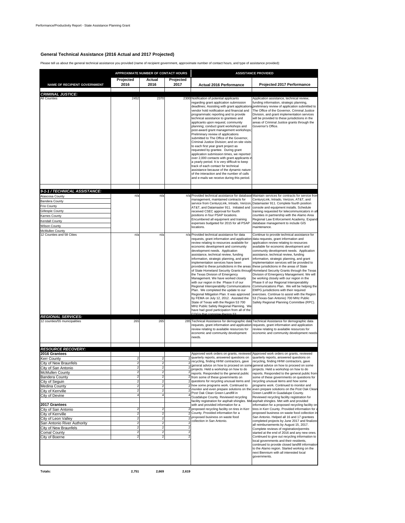#### **General Technical Assistance (2016 Actual and 2017 Projected)**

Please tell us about the general technical assistance you provided (name of recipient government, approximate number of contact hours, and type of assistance provided):

|                                                                                                                                                                                                                          |                                                                                                    |                                                                                                                                 |                                                                                                                                                                                                                                                                                                                                                                                                                                                                                                                                                                                                                                                                                                                                                                                                                                                                                            | APPROXIMATE NUMBER OF CONTACT HOURS<br><b>ASSISTANCE PROVIDED</b>                                                                                                                                                                                                                                                                                                                                                                                                                                                                                                                                                                                                                                                                                                                                                                                                                                                                                                                                                                                                                                                                                                                                                                                                                                                                  |  |  |
|--------------------------------------------------------------------------------------------------------------------------------------------------------------------------------------------------------------------------|----------------------------------------------------------------------------------------------------|---------------------------------------------------------------------------------------------------------------------------------|--------------------------------------------------------------------------------------------------------------------------------------------------------------------------------------------------------------------------------------------------------------------------------------------------------------------------------------------------------------------------------------------------------------------------------------------------------------------------------------------------------------------------------------------------------------------------------------------------------------------------------------------------------------------------------------------------------------------------------------------------------------------------------------------------------------------------------------------------------------------------------------------|------------------------------------------------------------------------------------------------------------------------------------------------------------------------------------------------------------------------------------------------------------------------------------------------------------------------------------------------------------------------------------------------------------------------------------------------------------------------------------------------------------------------------------------------------------------------------------------------------------------------------------------------------------------------------------------------------------------------------------------------------------------------------------------------------------------------------------------------------------------------------------------------------------------------------------------------------------------------------------------------------------------------------------------------------------------------------------------------------------------------------------------------------------------------------------------------------------------------------------------------------------------------------------------------------------------------------------|--|--|
| Projected                                                                                                                                                                                                                | Actual                                                                                             | Projected                                                                                                                       |                                                                                                                                                                                                                                                                                                                                                                                                                                                                                                                                                                                                                                                                                                                                                                                                                                                                                            |                                                                                                                                                                                                                                                                                                                                                                                                                                                                                                                                                                                                                                                                                                                                                                                                                                                                                                                                                                                                                                                                                                                                                                                                                                                                                                                                    |  |  |
| 2016                                                                                                                                                                                                                     | 2016                                                                                               | 2017                                                                                                                            | <b>Actual 2016 Performance</b>                                                                                                                                                                                                                                                                                                                                                                                                                                                                                                                                                                                                                                                                                                                                                                                                                                                             | Projected 2017 Performance                                                                                                                                                                                                                                                                                                                                                                                                                                                                                                                                                                                                                                                                                                                                                                                                                                                                                                                                                                                                                                                                                                                                                                                                                                                                                                         |  |  |
|                                                                                                                                                                                                                          |                                                                                                    |                                                                                                                                 |                                                                                                                                                                                                                                                                                                                                                                                                                                                                                                                                                                                                                                                                                                                                                                                                                                                                                            |                                                                                                                                                                                                                                                                                                                                                                                                                                                                                                                                                                                                                                                                                                                                                                                                                                                                                                                                                                                                                                                                                                                                                                                                                                                                                                                                    |  |  |
| 2452                                                                                                                                                                                                                     | 2370                                                                                               |                                                                                                                                 | regarding grant application submission<br>deadlines; Assisting with grant application<br>vendor hold notification and financial and<br>programmatic reporting and to provide<br>technical assistance to grantees and<br>applicants upon request; community<br>planning; conduct grant workshops and<br>post-award grant management workshops;<br>Preliminary review of applications<br>submitted to The Office of the Governor,<br>Criminal Justice Division; and on-site visits<br>to each first year grant project as<br>requested by grantee. During grant<br>application submission times, we reported<br>over 2,000 contacts with grant applicants in<br>a yearly period. It is very difficult to keep<br>track of each contact for technical<br>assistance because of the dynamic nature<br>of the interaction and the number of calls<br>and e-mails we receive during this period. | Application assistance, technical review,<br>funding information, strategic planning,<br>spreliminary review of application submitted to<br>The Office of the Governor, Criminal Justice<br>Division, and grant implementation services<br>will be provided to these jurisdictions in the<br>areas of Criminal Justice grants through the<br>Governor's Office.                                                                                                                                                                                                                                                                                                                                                                                                                                                                                                                                                                                                                                                                                                                                                                                                                                                                                                                                                                    |  |  |
|                                                                                                                                                                                                                          |                                                                                                    |                                                                                                                                 |                                                                                                                                                                                                                                                                                                                                                                                                                                                                                                                                                                                                                                                                                                                                                                                                                                                                                            |                                                                                                                                                                                                                                                                                                                                                                                                                                                                                                                                                                                                                                                                                                                                                                                                                                                                                                                                                                                                                                                                                                                                                                                                                                                                                                                                    |  |  |
| n/a                                                                                                                                                                                                                      | n/a                                                                                                |                                                                                                                                 | management, maintained contracts for<br>service from CenturyLink, Intrado, Verizon<br>AT&T, and Datamaster 911. Initiated and<br>received CSEC approval for fourth<br>positions in four PSAP locations.<br>Encumbered all equipment and training<br>expenses budgeted for 2015 for all PSAP<br>locations.                                                                                                                                                                                                                                                                                                                                                                                                                                                                                                                                                                                  | CenturyLink, Intrado, Verizon, AT&T, and<br>Datamaster 911. Complete fourth position<br>console and equipment installs. Schedule<br>training requested for telecommunicators in all<br>counties in partnership with the Alamo Area<br>Regional Law Enforcement Academy. Expand<br>database management to include GIS<br>maintenance.                                                                                                                                                                                                                                                                                                                                                                                                                                                                                                                                                                                                                                                                                                                                                                                                                                                                                                                                                                                               |  |  |
| n/a                                                                                                                                                                                                                      | n/a                                                                                                | n/a                                                                                                                             | Provided technical assistance for data<br>requests, grant information and application<br>review relating to resources available for<br>economic development and community<br>development needs. Application<br>assistance, technical review, funding<br>information, strategic planning, and grant<br>implementation services have been<br>provided to these jurisdictions in the areas<br>the Texas Division of Emergency<br>Management. We have worked closely<br>with our region in the Phase II of our<br>Regional Interoperability Communications<br>Plan. We completed the update to our<br>Regional Mitigation Plan. It was approved<br>by FEMA on July 12, 2012. Assisted the<br>State of Texas with the Region 53 700<br>MHz Public Safety Regional Planning. We<br>have had good participation from all of the                                                                   | Continue to provide technical assistance for<br>data requests, grant information and<br>application review relating to resources<br>available for economic development and<br>community development needs. Application<br>assistance, technical review, funding<br>information, strategic planning, and grant<br>implementation services will be provided to<br>these jurisdictions in the areas of State<br>of State Homeland Security Grants through Homeland Security Grants through the Texas<br>Division of Emergency Management. We will<br>be working closely with our region in the<br>Phase II of our Regional Interoperability<br>Communications Plan. We will be helping the<br>EMPG jurisdictions with their required<br>exercises. Continue to assist with the Region<br>53 (Texas-San Antonio) 700 MHz Public<br>Safety Regional Planning Committee (RPC).                                                                                                                                                                                                                                                                                                                                                                                                                                                           |  |  |
| 265                                                                                                                                                                                                                      | 265                                                                                                |                                                                                                                                 | review relating to available resources for<br>economic and community development<br>needs.                                                                                                                                                                                                                                                                                                                                                                                                                                                                                                                                                                                                                                                                                                                                                                                                 | requests, grant information and application requests, grant information and application<br>review relating to available resources for<br>economic and community development needs                                                                                                                                                                                                                                                                                                                                                                                                                                                                                                                                                                                                                                                                                                                                                                                                                                                                                                                                                                                                                                                                                                                                                  |  |  |
|                                                                                                                                                                                                                          |                                                                                                    |                                                                                                                                 |                                                                                                                                                                                                                                                                                                                                                                                                                                                                                                                                                                                                                                                                                                                                                                                                                                                                                            |                                                                                                                                                                                                                                                                                                                                                                                                                                                                                                                                                                                                                                                                                                                                                                                                                                                                                                                                                                                                                                                                                                                                                                                                                                                                                                                                    |  |  |
| 2<br>$\sqrt{2}$<br>$\overline{\mathbf{c}}$<br>2<br>$\overline{\mathbf{c}}$<br>$\overline{\mathbf{c}}$<br>4<br>2<br>$\sqrt{2}$<br>2<br>2<br>$\overline{\mathbf{2}}$<br>$\overline{\mathbf{c}}$<br>$\overline{\mathbf{c}}$ | 2<br>$\overline{2}$<br>2<br>$\overline{a}$<br>2<br>2<br>$\overline{2}$<br>2<br>2<br>$\overline{2}$ | $\overline{\mathbf{c}}$<br>$\overline{2}$<br>$\overline{2}$<br>$\overline{2}$<br>2<br>$\overline{a}$<br>$\overline{\mathbf{c}}$ | quarterly reports, answered questions on<br>recycling, finding HHW contractors, gave<br>projects. Held a workshop on how to do<br>reports. Responded to the general public<br>from some of these governments on<br>questions for recycling unusual items and<br>how some programs work. Continued to<br>monitor and even prepare solutions on the<br>Post Oak Clean Green Landfill in<br>Guadalupe County. Reviewed recycling<br>facility registration for asphalt shingles. Me<br>with and provided information for a<br>County. Provided information for a<br>proposed business on waste food<br>collection in San Antonio.                                                                                                                                                                                                                                                              | Approved work orders on grants, reviewed Approved work orders on grants, reviewed<br>quarterly reports, answered questions on<br>recycling, finding HHW contractors, gave<br>general advice on how to proceed on some general advice on how to proceed on some<br>projects. Held a workshop on how to do<br>reports. Responded to the general public from<br>some of these governments on questions for<br>recycling unusual items and how some<br>programs work. Continued to monitor and<br>even prepare solutions on the Post Oak Clean<br>Green Landfill in Guadalupe County.<br>Reviewed recycling facility registration for<br>a asphalt shingles. Met with and provided<br>information for a proposed recycling facility on<br>tires in Kerr County. Provided information for<br>proposed business on waste food collection in<br>San Antonio. Helped all 16 and 17 grantees<br>completed projects by June 2017 and finalize<br>all reimbursements by August 15, 2017.<br>Complete reviews of registration/permits<br>started at the end of 2016 and any new ones<br>Continued to give out recycling information to<br>local governments and their residents,<br>continued to provide closed landfill information<br>to the Alamo region. Started working on the<br>next Biennium with all interested local<br>governments. |  |  |
|                                                                                                                                                                                                                          |                                                                                                    |                                                                                                                                 |                                                                                                                                                                                                                                                                                                                                                                                                                                                                                                                                                                                                                                                                                                                                                                                                                                                                                            | 2300 Notification of potential applicants<br>n/a Provided technical assistance for database Maintain services for contracts for service fron<br>285 Technical Assistance for demographic data Technical Assistance for demographic data<br>$\overline{a}$<br>$\overline{a}$<br>2 proposed recycling facility on tires in Kerr<br>$\overline{2}$                                                                                                                                                                                                                                                                                                                                                                                                                                                                                                                                                                                                                                                                                                                                                                                                                                                                                                                                                                                    |  |  |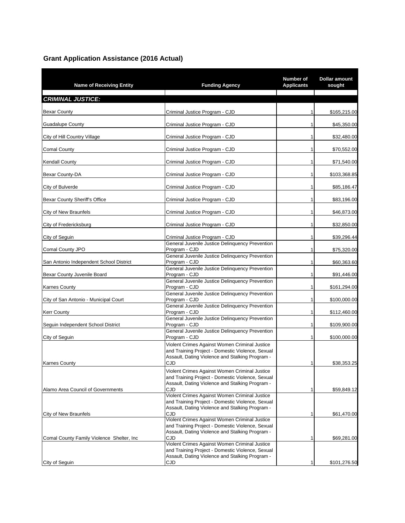### **Grant Application Assistance (2016 Actual)**

| <b>Name of Receiving Entity</b>            | <b>Funding Agency</b>                                                                                    | Number of<br><b>Applicants</b> | <b>Dollar amount</b><br>sought |
|--------------------------------------------|----------------------------------------------------------------------------------------------------------|--------------------------------|--------------------------------|
| <b>CRIMINAL JUSTICE:</b>                   |                                                                                                          |                                |                                |
| <b>Bexar County</b>                        | Criminal Justice Program - CJD                                                                           | 1                              | \$165,215.00                   |
| <b>Guadalupe County</b>                    | Criminal Justice Program - CJD                                                                           | 1                              | \$45,350.00                    |
| City of Hill Country Village               | Criminal Justice Program - CJD                                                                           | 1                              | \$32,480.00                    |
| <b>Comal County</b>                        | Criminal Justice Program - CJD                                                                           | 1                              | \$70,552.00                    |
| <b>Kendall County</b>                      | Criminal Justice Program - CJD                                                                           | 1                              | \$71,540.00                    |
| Bexar County-DA                            | Criminal Justice Program - CJD                                                                           | 1                              | \$103,368.85                   |
| City of Bulverde                           | Criminal Justice Program - CJD                                                                           | 1                              | \$85,186.47                    |
| Bexar County Sheriff's Office              | Criminal Justice Program - CJD                                                                           | 1                              | \$83,196.00                    |
| City of New Braunfels                      | Criminal Justice Program - CJD                                                                           | 1                              | \$46,873.00                    |
| City of Fredericksburg                     | Criminal Justice Program - CJD                                                                           | 1                              | \$32,850.00                    |
| City of Seguin                             | Criminal Justice Program - CJD                                                                           | 1                              | \$39,296.44                    |
| Comal County JPO                           | General Juvenile Justice Delinquency Prevention<br>Program - CJD                                         | 1                              | \$75,320.00                    |
| San Antonio Independent School District    | General Juvenile Justice Delinquency Prevention<br>Program - CJD                                         | 1                              | \$60,363.60                    |
| Bexar County Juvenile Board                | General Juvenile Justice Delinquency Prevention<br>Program - CJD                                         | 1                              | \$91,446.00                    |
| <b>Karnes County</b>                       | General Juvenile Justice Delinquency Prevention<br>Program - CJD                                         | 1                              | \$161,294.00                   |
| City of San Antonio - Municipal Court      | General Juvenile Justice Delinquency Prevention<br>Program - CJD                                         | 1                              | \$100,000.00                   |
| <b>Kerr County</b>                         | General Juvenile Justice Delinquency Prevention<br>Program - CJD                                         | 1                              | \$112,460.00                   |
| Seguin Independent School District         | General Juvenile Justice Delinquency Prevention<br>Program - CJD                                         | 1                              | \$109,900.00                   |
| City of Seguin                             | General Juvenile Justice Delinquency Prevention<br>Program - CJD                                         | 1                              | \$100,000.00                   |
|                                            | Violent Crimes Against Women Criminal Justice<br>and Training Project - Domestic Violence, Sexual        |                                |                                |
| <b>Karnes County</b>                       | Assault, Dating Violence and Stalking Program -<br><b>CJD</b>                                            | 1                              | \$38,353.25                    |
|                                            | Violent Crimes Against Women Criminal Justice                                                            |                                |                                |
|                                            | and Training Project - Domestic Violence, Sexual<br>Assault, Dating Violence and Stalking Program -      |                                |                                |
| Alamo Area Council of Governments          | CJD<br>Violent Crimes Against Women Criminal Justice                                                     | 1                              | \$59,849.12                    |
|                                            | and Training Project - Domestic Violence, Sexual<br>Assault, Dating Violence and Stalking Program -      |                                |                                |
| City of New Braunfels                      | CJD<br>Violent Crimes Against Women Criminal Justice<br>and Training Project - Domestic Violence, Sexual | 1                              | \$61,470.00                    |
|                                            | Assault, Dating Violence and Stalking Program -                                                          |                                |                                |
| Comal County Family Violence Shelter, Inc. | CJD<br>Violent Crimes Against Women Criminal Justice<br>and Training Project - Domestic Violence, Sexual | 1                              | \$69,281.00                    |
| City of Seguin                             | Assault, Dating Violence and Stalking Program -                                                          |                                |                                |
|                                            | CJD                                                                                                      | 1                              | \$101,276.50                   |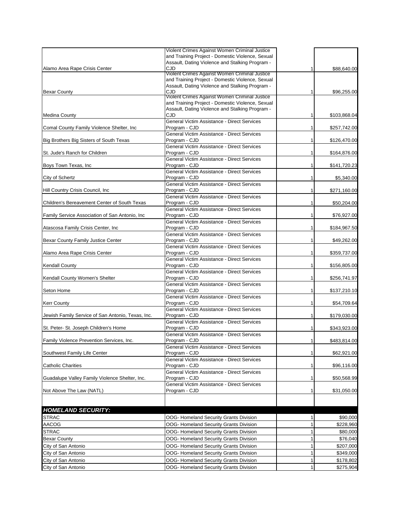|                                                   | Violent Crimes Against Women Criminal Justice                                                     |   |              |
|---------------------------------------------------|---------------------------------------------------------------------------------------------------|---|--------------|
|                                                   | and Training Project - Domestic Violence, Sexual                                                  |   |              |
|                                                   | Assault, Dating Violence and Stalking Program -                                                   |   |              |
| Alamo Area Rape Crisis Center                     | CJD                                                                                               |   | \$88,640.00  |
|                                                   | Violent Crimes Against Women Criminal Justice<br>and Training Project - Domestic Violence, Sexual |   |              |
|                                                   | Assault, Dating Violence and Stalking Program -                                                   |   |              |
| <b>Bexar County</b>                               | CJD                                                                                               | 1 | \$96,255.00  |
|                                                   | Violent Crimes Against Women Criminal Justice                                                     |   |              |
|                                                   | and Training Project - Domestic Violence, Sexual                                                  |   |              |
|                                                   | Assault, Dating Violence and Stalking Program -                                                   |   |              |
| <b>Medina County</b>                              | CJD                                                                                               | 1 | \$103,868.04 |
|                                                   | General Victim Assistance - Direct Services                                                       |   |              |
| Comal County Family Violence Shelter, Inc.        | Program - CJD                                                                                     | 1 | \$257,742.00 |
|                                                   | General Victim Assistance - Direct Services                                                       |   |              |
| Big Brothers Big Sisters of South Texas           | Program - CJD<br>General Victim Assistance - Direct Services                                      | 1 | \$126,470.00 |
|                                                   | Program - CJD                                                                                     |   |              |
| St. Jude's Ranch for Children                     | General Victim Assistance - Direct Services                                                       |   | \$164,876.00 |
| Boys Town Texas, Inc                              | Program - CJD                                                                                     |   | \$141,720.23 |
|                                                   | General Victim Assistance - Direct Services                                                       |   |              |
| City of Schertz                                   | Program - CJD                                                                                     |   | \$5,340.00   |
|                                                   | General Victim Assistance - Direct Services                                                       |   |              |
| Hill Country Crisis Council, Inc                  | Program - CJD                                                                                     |   | \$271,160.00 |
|                                                   | General Victim Assistance - Direct Services                                                       |   |              |
| Children's Bereavement Center of South Texas      | Program - CJD                                                                                     | 1 | \$50,204.00  |
|                                                   | General Victim Assistance - Direct Services                                                       |   |              |
| Family Service Association of San Antonio, Inc.   | Program - CJD                                                                                     |   | \$76,927.00  |
|                                                   | General Victim Assistance - Direct Services                                                       |   |              |
| Atascosa Family Crisis Center, Inc.               | Program - CJD                                                                                     |   | \$184,967.50 |
|                                                   | General Victim Assistance - Direct Services                                                       |   |              |
| Bexar County Family Justice Center                | Program - CJD                                                                                     | 1 | \$49,262.00  |
|                                                   | General Victim Assistance - Direct Services                                                       |   |              |
| Alamo Area Rape Crisis Center                     | Program - CJD<br>General Victim Assistance - Direct Services                                      |   | \$359,737.00 |
| Kendall County                                    | Program - CJD                                                                                     | 1 | \$156,805.00 |
|                                                   | General Victim Assistance - Direct Services                                                       |   |              |
| Kendall County Women's Shelter                    | Program - CJD                                                                                     | 1 | \$256,741.97 |
|                                                   | General Victim Assistance - Direct Services                                                       |   |              |
| Seton Home                                        | Program - CJD                                                                                     |   | \$137,210.10 |
|                                                   | General Victim Assistance - Direct Services                                                       |   |              |
| <b>Kerr County</b>                                | Program - CJD                                                                                     | 1 | \$54,709.64  |
|                                                   | General Victim Assistance - Direct Services                                                       |   |              |
| Jewish Family Service of San Antonio, Texas, Inc. | Program - CJD                                                                                     | 1 | \$179,030.00 |
|                                                   | General Victim Assistance - Direct Services                                                       |   |              |
| St. Peter- St. Joseph Children's Home             | Program - CJD                                                                                     |   | \$343,923.00 |
|                                                   | General Victim Assistance - Direct Services                                                       |   |              |
| Family Violence Prevention Services, Inc.         | Program - CJD                                                                                     | 1 | \$483,814.00 |
|                                                   | General Victim Assistance - Direct Services                                                       |   |              |
| Southwest Family Life Center                      | Program - CJD<br>General Victim Assistance - Direct Services                                      | 1 | \$62,921.00  |
| <b>Catholic Charities</b>                         | Program - CJD                                                                                     | 1 | \$96,116.00  |
|                                                   | General Victim Assistance - Direct Services                                                       |   |              |
| Guadalupe Valley Family Violence Shelter, Inc.    | Program - CJD                                                                                     | 1 | \$50,568.99  |
|                                                   | General Victim Assistance - Direct Services                                                       |   |              |
| Not Above The Law (NATL)                          | Program - CJD                                                                                     | 1 | \$31,050.00  |
|                                                   |                                                                                                   |   |              |
|                                                   |                                                                                                   |   |              |
| <b>HOMELAND SECURITY:</b>                         |                                                                                                   |   |              |
| <b>STRAC</b>                                      | OOG- Homeland Security Grants Division                                                            | 1 | \$90,000     |
| AACOG                                             | OOG- Homeland Security Grants Division                                                            | 1 | \$228,960    |
| <b>STRAC</b>                                      | OOG- Homeland Security Grants Division                                                            | 1 | \$80,000     |
| <b>Bexar County</b>                               | OOG- Homeland Security Grants Division                                                            | 1 | \$76,040     |
| City of San Antonio                               | OOG- Homeland Security Grants Division                                                            | 1 | \$207,000    |
|                                                   | OOG- Homeland Security Grants Division                                                            | 1 |              |
| City of San Antonio                               |                                                                                                   |   | \$349,000    |
| City of San Antonio                               | OOG- Homeland Security Grants Division                                                            | 1 | \$178,802    |
| City of San Antonio                               | OOG- Homeland Security Grants Division                                                            | 1 | \$275,904    |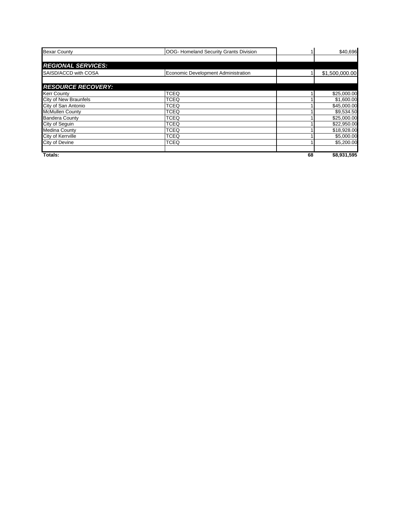| <b>Bexar County</b>       | OOG- Homeland Security Grants Division |    | \$40,696       |
|---------------------------|----------------------------------------|----|----------------|
|                           |                                        |    |                |
| <b>REGIONAL SERVICES:</b> |                                        |    |                |
| SAISD/ACCD with COSA      | Economic Development Administration    |    | \$1,500,000.00 |
|                           |                                        |    |                |
| <b>RESOURCE RECOVERY:</b> |                                        |    |                |
| <b>Kerr County</b>        | <b>TCEQ</b>                            |    | \$25,000.00    |
| City of New Braunfels     | <b>TCEQ</b>                            |    | \$1,600.00     |
| City of San Antonio       | <b>TCEQ</b>                            |    | \$45,000.00    |
| <b>McMullen County</b>    | <b>TCEQ</b>                            |    | \$9,534.50     |
| <b>Bandera County</b>     | <b>TCEQ</b>                            |    | \$25,000.00    |
| City of Sequin            | <b>TCEQ</b>                            |    | \$22,950.00    |
| <b>Medina County</b>      | <b>TCEQ</b>                            |    | \$18,928.00    |
| City of Kerrville         | <b>TCEQ</b>                            |    | \$5,000.00     |
| <b>City of Devine</b>     | <b>TCEQ</b>                            |    | \$5,200.00     |
| Totals:                   |                                        | 68 | \$8,931,595    |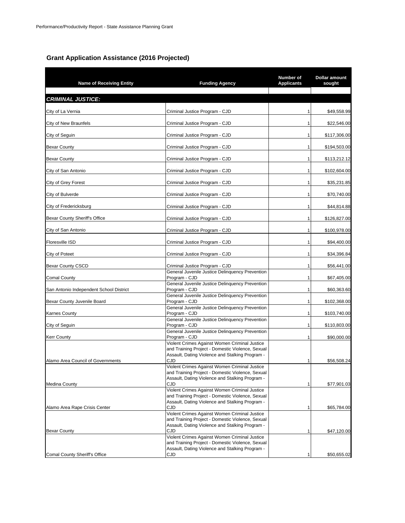#### **Grant Application Assistance (2016 Projected)**

| <b>Name of Receiving Entity</b>         | <b>Funding Agency</b>                                                                                                                                              | Number of<br><b>Applicants</b> | <b>Dollar amount</b><br>sought |
|-----------------------------------------|--------------------------------------------------------------------------------------------------------------------------------------------------------------------|--------------------------------|--------------------------------|
| <b>CRIMINAL JUSTICE:</b>                |                                                                                                                                                                    |                                |                                |
| City of La Vernia                       | Criminal Justice Program - CJD                                                                                                                                     |                                | \$49,558.99                    |
| City of New Braunfels                   | Criminal Justice Program - CJD                                                                                                                                     | 1                              | \$22,546.00                    |
| City of Seguin                          | Criminal Justice Program - CJD                                                                                                                                     | 1                              | \$117,306.00                   |
| <b>Bexar County</b>                     | Criminal Justice Program - CJD                                                                                                                                     | 1                              | \$194,503.00                   |
| <b>Bexar County</b>                     | Criminal Justice Program - CJD                                                                                                                                     | 1                              | \$113,212.12                   |
| City of San Antonio                     | Criminal Justice Program - CJD                                                                                                                                     | 1                              | \$102,604.00                   |
| City of Grey Forest                     | Criminal Justice Program - CJD                                                                                                                                     | 1                              | \$35,231.85                    |
| City of Bulverde                        | Criminal Justice Program - CJD                                                                                                                                     | 1                              | \$70,740.00                    |
| City of Fredericksburg                  | Criminal Justice Program - CJD                                                                                                                                     | 1                              | \$44,814.88                    |
| Bexar County Sheriff's Office           | Criminal Justice Program - CJD                                                                                                                                     | 1                              | \$126,827.00                   |
| City of San Antonio                     | Criminal Justice Program - CJD                                                                                                                                     | 1                              | \$100,978.00                   |
| <b>Floresville ISD</b>                  | Criminal Justice Program - CJD                                                                                                                                     | 1                              | \$94,400.00                    |
| City of Poteet                          | Criminal Justice Program - CJD                                                                                                                                     | 1                              | \$34,396.84                    |
| <b>Bexar County CSCD</b>                | Criminal Justice Program - CJD                                                                                                                                     | 1                              | \$56,441.00                    |
| <b>Comal County</b>                     | General Juvenile Justice Delinquency Prevention<br>Program - CJD                                                                                                   | 1                              | \$67,405.00                    |
| San Antonio Independent School District | General Juvenile Justice Delinquency Prevention<br>Program - CJD                                                                                                   | 1                              | \$60,363.60                    |
| Bexar County Juvenile Board             | General Juvenile Justice Delinquency Prevention<br>Program - CJD                                                                                                   | 1                              | \$102,368.00                   |
| <b>Karnes County</b>                    | General Juvenile Justice Delinquency Prevention<br>Program - CJD                                                                                                   | 1                              | \$103,740.00                   |
| City of Seguin                          | General Juvenile Justice Delinquency Prevention<br>Program - CJD                                                                                                   | 1                              | \$110,803.00                   |
| <b>Kerr County</b>                      | General Juvenile Justice Delinquency Prevention<br>Program - CJD                                                                                                   |                                | \$90,000.00                    |
| Alamo Area Council of Governments       | Violent Crimes Against Women Criminal Justice<br>and Training Project - Domestic Violence, Sexual<br>Assault, Dating Violence and Stalking Program -<br><b>CJD</b> | 1                              | \$56,508.24                    |
| <b>Medina County</b>                    | Violent Crimes Against Women Criminal Justice<br>and Training Project - Domestic Violence, Sexual<br>Assault, Dating Violence and Stalking Program -<br>CJD        | 1                              | \$77,901.03                    |
| Alamo Area Rape Crisis Center           | Violent Crimes Against Women Criminal Justice<br>and Training Project - Domestic Violence, Sexual<br>Assault, Dating Violence and Stalking Program -<br>CJD        | 1                              | \$65,784.00                    |
| <b>Bexar County</b>                     | Violent Crimes Against Women Criminal Justice<br>and Training Project - Domestic Violence, Sexual<br>Assault, Dating Violence and Stalking Program -<br>CJD        | 1                              | \$47,120.00                    |
|                                         | Violent Crimes Against Women Criminal Justice<br>and Training Project - Domestic Violence, Sexual<br>Assault, Dating Violence and Stalking Program -               |                                |                                |
| <b>Comal County Sheriff's Office</b>    | CJD                                                                                                                                                                | 1                              | \$50,655.02                    |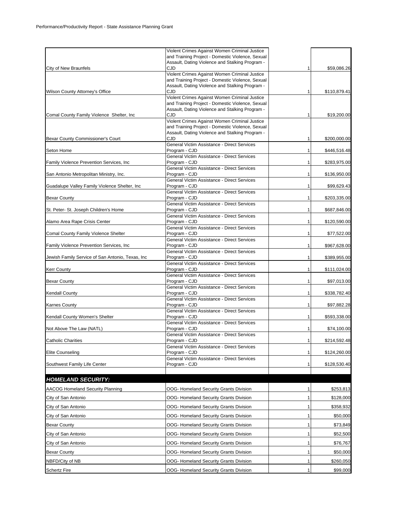|                                                  | Violent Crimes Against Women Criminal Justice                                                       |   |              |
|--------------------------------------------------|-----------------------------------------------------------------------------------------------------|---|--------------|
|                                                  | and Training Project - Domestic Violence, Sexual<br>Assault, Dating Violence and Stalking Program - |   |              |
| City of New Braunfels                            | CJD                                                                                                 | 1 | \$59,086.26  |
|                                                  | Violent Crimes Against Women Criminal Justice<br>and Training Project - Domestic Violence, Sexual   |   |              |
|                                                  | Assault, Dating Violence and Stalking Program -                                                     |   |              |
| Wilson County Attorney's Office                  | CJD<br>Violent Crimes Against Women Criminal Justice                                                | 1 | \$110,879.41 |
|                                                  | and Training Project - Domestic Violence, Sexual                                                    |   |              |
| Comal County Family Violence Shelter, Inc.       | Assault, Dating Violence and Stalking Program -<br>CJD                                              | 1 | \$19,200.00  |
|                                                  | Violent Crimes Against Women Criminal Justice                                                       |   |              |
|                                                  | and Training Project - Domestic Violence, Sexual<br>Assault, Dating Violence and Stalking Program - |   |              |
| Bexar County Commissioner's Court                | CJD                                                                                                 | 1 | \$200,000.00 |
|                                                  | General Victim Assistance - Direct Services                                                         |   |              |
| Seton Home                                       | Program - CJD<br>General Victim Assistance - Direct Services                                        | 1 | \$446,516.48 |
| Family Violence Prevention Services, Inc         | Program - CJD                                                                                       | 1 | \$283,975.00 |
| San Antonio Metropolitan Ministry, Inc.          | General Victim Assistance - Direct Services<br>Program - CJD                                        | 1 | \$136,950.00 |
|                                                  | General Victim Assistance - Direct Services                                                         |   |              |
| Guadalupe Valley Family Violence Shelter, Inc    | Program - CJD<br>General Victim Assistance - Direct Services                                        | 1 | \$99,629.43  |
| <b>Bexar County</b>                              | Program - CJD                                                                                       | 1 | \$203,335.00 |
|                                                  | General Victim Assistance - Direct Services                                                         |   |              |
| St. Peter- St. Joseph Children's Home            | Program - CJD<br>General Victim Assistance - Direct Services                                        | 1 | \$687,846.00 |
| Alamo Area Rape Crisis Center                    | Program - CJD                                                                                       | 1 | \$120,590.00 |
| Comal County Family Violence Shelter             | General Victim Assistance - Direct Services<br>Program - CJD                                        | 1 | \$77,522.00  |
|                                                  | General Victim Assistance - Direct Services                                                         |   |              |
| Family Violence Prevention Services, Inc.        | Program - CJD                                                                                       | 1 | \$967,628.00 |
| Jewish Family Service of San Antonio, Texas, Inc | General Victim Assistance - Direct Services<br>Program - CJD                                        | 1 | \$389,955.00 |
|                                                  | General Victim Assistance - Direct Services                                                         |   |              |
| <b>Kerr County</b>                               | Program - CJD<br>General Victim Assistance - Direct Services                                        | 1 | \$111,024.00 |
| <b>Bexar County</b>                              | Program - CJD                                                                                       | 1 | \$97,013.00  |
|                                                  | General Victim Assistance - Direct Services<br>Program - CJD                                        | 1 |              |
| <b>Kendall County</b>                            | General Victim Assistance - Direct Services                                                         |   | \$338,782.40 |
| <b>Karnes County</b>                             | Program - CJD                                                                                       | 1 | \$97,882.28  |
| Kendall County Women's Shelter                   | General Victim Assistance - Direct Services<br>Program - CJD                                        | 1 | \$593,338.00 |
|                                                  | General Victim Assistance - Direct Services                                                         |   |              |
| Not Above The Law (NATL)                         | Program - CJD<br>General Victim Assistance - Direct Services                                        | 1 | \$74,100.00  |
| <b>Catholic Charities</b>                        | Program - CJD                                                                                       | 1 | \$214,592.48 |
|                                                  | General Victim Assistance - Direct Services<br>Program - CJD                                        |   |              |
| Elite Counseling                                 | General Victim Assistance - Direct Services                                                         | 1 | \$124,260.00 |
| Southwest Family Life Center                     | Program - CJD                                                                                       | 1 | \$128,530.40 |
|                                                  |                                                                                                     |   |              |
| <b>HOMELAND SECURITY:</b>                        |                                                                                                     |   |              |
| <b>AACOG Homeland Security Planning</b>          | OOG- Homeland Security Grants Division                                                              | 1 | \$253,813    |
| City of San Antonio                              | OOG- Homeland Security Grants Division                                                              | 1 | \$128,000    |
| City of San Antonio                              | OOG- Homeland Security Grants Division                                                              | 1 | \$358,932    |
| City of San Antonio                              | OOG- Homeland Security Grants Division                                                              | 1 | \$50,000     |
| <b>Bexar County</b>                              | OOG- Homeland Security Grants Division                                                              | 1 | \$73,849     |
| City of San Antonio                              | OOG- Homeland Security Grants Division                                                              | 1 | \$52,500     |
| City of San Antonio                              | OOG- Homeland Security Grants Division                                                              | 1 | \$76,767     |
| Bexar County                                     | OOG- Homeland Security Grants Division                                                              | 1 | \$50,000     |
| NBFD/City of NB                                  | OOG- Homeland Security Grants Division                                                              | 1 | \$260,050    |
| <b>Schertz Fire</b>                              | OOG- Homeland Security Grants Division                                                              | 1 | \$99,000     |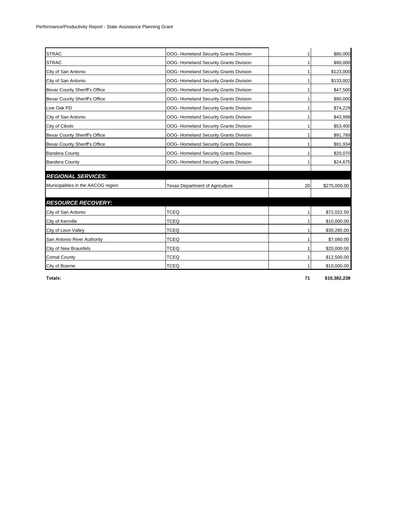| <b>STRAC</b>                       | OOG- Homeland Security Grants Division | 1  | \$80,000     |
|------------------------------------|----------------------------------------|----|--------------|
| <b>STRAC</b>                       | OOG- Homeland Security Grants Division | 1  | \$90,000     |
| City of San Antonio                | OOG- Homeland Security Grants Division | 1  | \$123,000    |
| City of San Antonio                | OOG- Homeland Security Grants Division | 1  | \$133,002    |
| Bexar County Sheriff's Office      | OOG- Homeland Security Grants Division | 1  | \$47,500     |
| Bexar County Sheriff's Office      | OOG- Homeland Security Grants Division | 1  | \$90,000     |
| Live Oak PD                        | OOG- Homeland Security Grants Division | 1  |              |
| City of San Antonio                | OOG- Homeland Security Grants Division | 1  | \$43,998     |
| City of Cibolo                     | OOG- Homeland Security Grants Division | 1  | \$53,400     |
| Bexar County Sheriff's Office      | OOG- Homeland Security Grants Division | 1  | \$91,789     |
| Bexar County Sheriff's Office      | OOG- Homeland Security Grants Division | 1  | \$91,934     |
| <b>Bandera County</b>              | OOG- Homeland Security Grants Division | 1  | \$20,070     |
| <b>Bandera County</b>              | OOG- Homeland Security Grants Division | 1  | \$24,675     |
| <b>REGIONAL SERVICES:</b>          |                                        |    |              |
| Municipalities in the AACOG region | <b>Texas Department of Agriculture</b> | 20 | \$275,000.00 |
| <b>RESOURCE RECOVERY:</b>          |                                        |    |              |
| City of San Antonio                | <b>TCEQ</b>                            | 1  | \$72,022.50  |
| City of Kerrville                  | <b>TCEQ</b>                            | 1  | \$10,000.00  |
| City of Leon Valley                | <b>TCEQ</b>                            | 1  | \$30,285.00  |
| San Antonio River Authority        | <b>TCEQ</b>                            | 1  | \$7,080.00   |
| City of New Braunfels              | <b>TCEQ</b>                            | 1  | \$20,000.00  |
| <b>Comal County</b>                | <b>TCEQ</b>                            | 1  | \$12,500.00  |
| City of Boerne                     | <b>TCEQ</b>                            | 1  | \$10,000.00  |

**Totals: 71 \$10,382,238**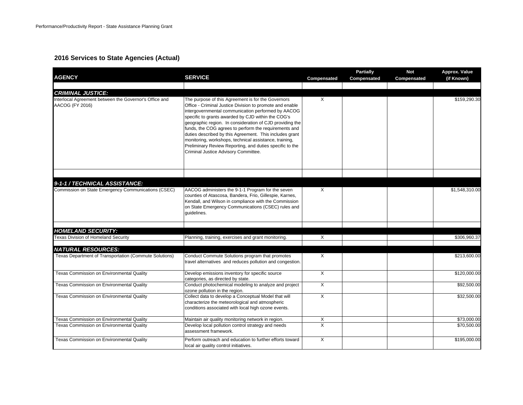#### **2016 Services to State Agencies (Actual)**

| <b>AGENCY</b>                                                             | <b>SERVICE</b>                                                                                                                                                                                                                                                                                                                                                                                                                                                                                                                                                           | Compensated    | <b>Partially</b><br>Compensated | <b>Not</b><br>Compensated | Approx. Value<br>(if Known) |
|---------------------------------------------------------------------------|--------------------------------------------------------------------------------------------------------------------------------------------------------------------------------------------------------------------------------------------------------------------------------------------------------------------------------------------------------------------------------------------------------------------------------------------------------------------------------------------------------------------------------------------------------------------------|----------------|---------------------------------|---------------------------|-----------------------------|
|                                                                           |                                                                                                                                                                                                                                                                                                                                                                                                                                                                                                                                                                          |                |                                 |                           |                             |
| <b>CRIMINAL JUSTICE:</b>                                                  |                                                                                                                                                                                                                                                                                                                                                                                                                                                                                                                                                                          |                |                                 |                           |                             |
| Interlocal Agreement between the Governor's Office and<br>AACOG (FY 2016) | The purpose of this Agreement is for the Governors<br>Office - Criminal Justice Division to promote and enable<br>intergovernmental communication performed by AACOG<br>specific to grants awarded by CJD within the COG's<br>geographic region. In consideration of CJD providing the<br>funds, the COG agrees to perform the requirements and<br>duties described by this Agreement. This includes grant<br>monitoring, workshops, technical assistance, training,<br>Preliminary Review Reporting, and duties specific to the<br>Criminal Justice Advisory Committee. | X              |                                 |                           | \$159,290.30                |
|                                                                           |                                                                                                                                                                                                                                                                                                                                                                                                                                                                                                                                                                          |                |                                 |                           |                             |
| 9-1-1 / TECHNICAL ASSISTANCE:                                             |                                                                                                                                                                                                                                                                                                                                                                                                                                                                                                                                                                          |                |                                 |                           |                             |
| Commission on State Emergency Communications (CSEC)                       | AACOG administers the 9-1-1 Program for the seven<br>counties of Atascosa, Bandera, Frio, Gillespie, Karnes,<br>Kendall, and Wilson in compliance with the Commission<br>on State Emergency Communications (CSEC) rules and<br>quidelines.                                                                                                                                                                                                                                                                                                                               | X              |                                 |                           | \$1,548,310.00              |
| <b>HOMELAND SECURITY:</b>                                                 |                                                                                                                                                                                                                                                                                                                                                                                                                                                                                                                                                                          |                |                                 |                           |                             |
| <b>Texas Division of Homeland Security</b>                                | Planning, training, exercises and grant monitoring.                                                                                                                                                                                                                                                                                                                                                                                                                                                                                                                      | X              |                                 |                           | \$306,960.37                |
|                                                                           |                                                                                                                                                                                                                                                                                                                                                                                                                                                                                                                                                                          |                |                                 |                           |                             |
| <b>NATURAL RESOURCES:</b>                                                 |                                                                                                                                                                                                                                                                                                                                                                                                                                                                                                                                                                          |                |                                 |                           |                             |
| Texas Department of Transportation (Commute Solutions)                    | Conduct Commute Solutions program that promotes<br>travel alternatives and reduces pollution and congestion.                                                                                                                                                                                                                                                                                                                                                                                                                                                             | X              |                                 |                           | \$213,600.00                |
| Texas Commission on Environmental Quality                                 | Develop emissions inventory for specific source<br>categories, as directed by state.                                                                                                                                                                                                                                                                                                                                                                                                                                                                                     | X              |                                 |                           | \$120,000.00                |
| Texas Commission on Environmental Quality                                 | Conduct photochemical modeling to analyze and project<br>ozone pollution in the region.                                                                                                                                                                                                                                                                                                                                                                                                                                                                                  | $\overline{X}$ |                                 |                           | \$92,500.00                 |
| Texas Commission on Environmental Quality                                 | Collect data to develop a Conceptual Model that will<br>characterize the meteorological and atmospheric<br>conditions associated with local high ozone events.                                                                                                                                                                                                                                                                                                                                                                                                           | X              |                                 |                           | \$32,500.00                 |
| Texas Commission on Environmental Quality                                 | Maintain air quality monitoring network in region.                                                                                                                                                                                                                                                                                                                                                                                                                                                                                                                       | X              |                                 |                           | \$73,000.00                 |
| Texas Commission on Environmental Quality                                 | Develop local pollution control strategy and needs<br>assessment framework.                                                                                                                                                                                                                                                                                                                                                                                                                                                                                              | $\times$       |                                 |                           | \$70,500.00                 |
| Texas Commission on Environmental Quality                                 | Perform outreach and education to further efforts toward<br>local air quality control initiatives.                                                                                                                                                                                                                                                                                                                                                                                                                                                                       | X              |                                 |                           | \$195,000.00                |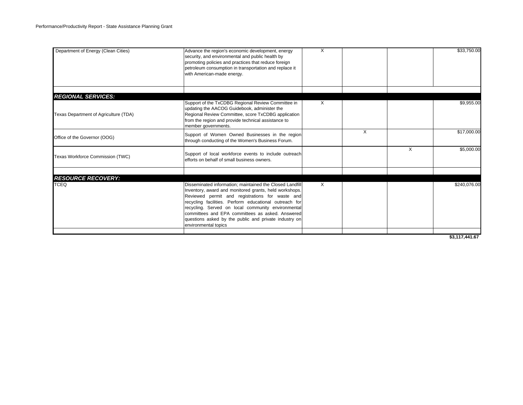| Department of Energy (Clean Cities)                                | Advance the region's economic development, energy<br>security, and environmental and public health by<br>promoting policies and practices that reduce foreign<br>petroleum consumption in transportation and replace it<br>with American-made energy.                                                                                                                                                                      | X        |   |   | \$33,750.00  |
|--------------------------------------------------------------------|----------------------------------------------------------------------------------------------------------------------------------------------------------------------------------------------------------------------------------------------------------------------------------------------------------------------------------------------------------------------------------------------------------------------------|----------|---|---|--------------|
|                                                                    |                                                                                                                                                                                                                                                                                                                                                                                                                            |          |   |   |              |
| <b>REGIONAL SERVICES:</b><br>Texas Department of Agriculture (TDA) | Support of the TxCDBG Regional Review Committee in<br>updating the AACOG Guidebook, administer the<br>Regional Review Committee, score TxCDBG application<br>from the region and provide technical assistance to<br>member governments.                                                                                                                                                                                    | X        |   |   | \$9,955.00   |
| Office of the Governor (OOG)                                       | Support of Women Owned Businesses in the region<br>through conducting of the Women's Business Forum.                                                                                                                                                                                                                                                                                                                       |          | X |   | \$17,000.00  |
| Texas Workforce Commission (TWC)                                   | Support of local workforce events to include outreach<br>efforts on behalf of small business owners.                                                                                                                                                                                                                                                                                                                       |          |   | X | \$5,000.00   |
| <b>RESOURCE RECOVERY:</b>                                          |                                                                                                                                                                                                                                                                                                                                                                                                                            |          |   |   |              |
| <b>TCEQ</b>                                                        | Disseminated information; maintained the Closed Landfill<br>Inventory, award and monitored grants, held workshops.<br>Reviewed permit and registrations for waste and<br>recycling facilities. Perform educational outreach for<br>recycling. Served on local community environmental<br>committees and EPA committees as asked. Answered<br>questions asked by the public and private industry on<br>environmental topics | $\times$ |   |   | \$240,076.00 |

**\$3,117,441.67**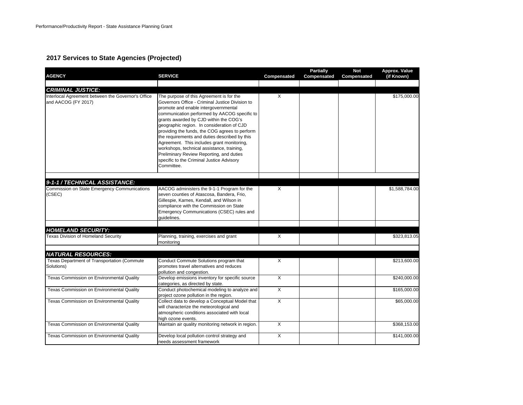### **2017 Services to State Agencies (Projected)**

| <b>AGENCY</b>                                                                                         | <b>SERVICE</b>                                                                                                                                                                                                                                                                                                                                                                                                                                                                                                                                                                    | Compensated  | <b>Partially</b><br>Compensated | <b>Not</b><br>Compensated | Approx. Value<br>(if Known) |
|-------------------------------------------------------------------------------------------------------|-----------------------------------------------------------------------------------------------------------------------------------------------------------------------------------------------------------------------------------------------------------------------------------------------------------------------------------------------------------------------------------------------------------------------------------------------------------------------------------------------------------------------------------------------------------------------------------|--------------|---------------------------------|---------------------------|-----------------------------|
|                                                                                                       |                                                                                                                                                                                                                                                                                                                                                                                                                                                                                                                                                                                   |              |                                 |                           |                             |
| <b>CRIMINAL JUSTICE:</b><br>Interlocal Agreement between the Governor's Office<br>and AACOG (FY 2017) | The purpose of this Agreement is for the<br>Governors Office - Criminal Justice Division to<br>promote and enable intergovernmental<br>communication performed by AACOG specific to<br>grants awarded by CJD within the COG's<br>geographic region. In consideration of CJD<br>providing the funds, the COG agrees to perform<br>the requirements and duties described by this<br>Agreement. This includes grant monitoring,<br>workshops, technical assistance, training,<br>Preliminary Review Reporting, and duties<br>specific to the Criminal Justice Advisory<br>Committee. | X            |                                 |                           | \$175,000.00                |
|                                                                                                       |                                                                                                                                                                                                                                                                                                                                                                                                                                                                                                                                                                                   |              |                                 |                           |                             |
| 9-1-1 / TECHNICAL ASSISTANCE:<br>Commission on State Emergency Communications<br>(CSEC)               | AACOG administers the 9-1-1 Program for the<br>seven counties of Atascosa, Bandera, Frio,<br>Gillespie, Karnes, Kendall, and Wilson in<br>compliance with the Commission on State<br>Emergency Communications (CSEC) rules and<br>quidelines.                                                                                                                                                                                                                                                                                                                                     | X            |                                 |                           | \$1,588,784.00              |
|                                                                                                       |                                                                                                                                                                                                                                                                                                                                                                                                                                                                                                                                                                                   |              |                                 |                           |                             |
| <b>HOMELAND SECURITY:</b>                                                                             |                                                                                                                                                                                                                                                                                                                                                                                                                                                                                                                                                                                   |              |                                 |                           |                             |
| <b>Texas Division of Homeland Security</b>                                                            | Planning, training, exercises and grant<br>monitoring                                                                                                                                                                                                                                                                                                                                                                                                                                                                                                                             | X            |                                 |                           | \$323,813.05                |
| <b>NATURAL RESOURCES:</b>                                                                             |                                                                                                                                                                                                                                                                                                                                                                                                                                                                                                                                                                                   |              |                                 |                           |                             |
| Texas Department of Transportation (Commute<br>Solutions)                                             | Conduct Commute Solutions program that<br>promotes travel alternatives and reduces<br>pollution and congestion.                                                                                                                                                                                                                                                                                                                                                                                                                                                                   | X            |                                 |                           | \$213,600.00                |
| Texas Commission on Environmental Quality                                                             | Develop emissions inventory for specific source<br>categories, as directed by state.                                                                                                                                                                                                                                                                                                                                                                                                                                                                                              | $\mathsf{X}$ |                                 |                           | \$240,000.00                |
| Texas Commission on Environmental Quality                                                             | Conduct photochemical modeling to analyze and<br>project ozone pollution in the region.                                                                                                                                                                                                                                                                                                                                                                                                                                                                                           | X            |                                 |                           | \$165,000.00                |
| Texas Commission on Environmental Quality                                                             | Collect data to develop a Conceptual Model that<br>will characterize the meteorological and<br>atmospheric conditions associated with local<br>high ozone events.                                                                                                                                                                                                                                                                                                                                                                                                                 | X            |                                 |                           | \$65,000.00                 |
| Texas Commission on Environmental Quality                                                             | Maintain air quality monitoring network in region.                                                                                                                                                                                                                                                                                                                                                                                                                                                                                                                                | X            |                                 |                           | \$368,153.00                |
| Texas Commission on Environmental Quality                                                             | Develop local pollution control strategy and<br>needs assessment framework                                                                                                                                                                                                                                                                                                                                                                                                                                                                                                        | X            |                                 |                           | \$141,000.00                |